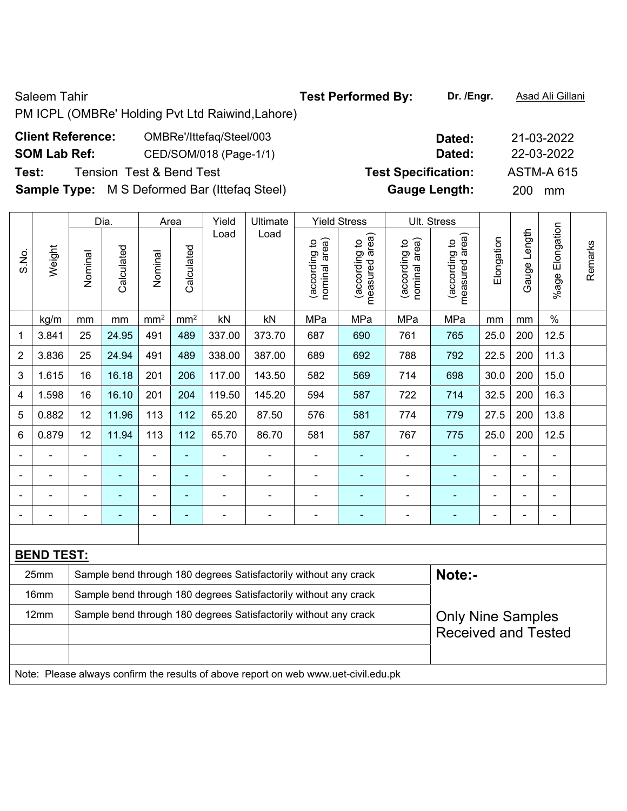### Saleem Tahir **Test Performed By:** Dr. /Engr. **Asad Ali Gillani**

PM ICPL (OMBRe' Holding Pvt Ltd Raiwind,Lahore)

## **Client Reference:** OMBRe'/Ittefaq/Steel/003 **Dated:** 21-03-2022

**Test:** Tension Test & Bend Test **Test Specification:** ASTM-A 615

**Sample Type:** M S Deformed Bar (Ittefaq Steel) **Gauge Length:** 200 mm

|                |                   | Dia.<br><b>Yield Stress</b><br>Area<br>Yield<br>Ultimate         |                |                 |                 |                |                                                                  |                                |                                 |                                | Ult. Stress                        |                            |                |                 |         |
|----------------|-------------------|------------------------------------------------------------------|----------------|-----------------|-----------------|----------------|------------------------------------------------------------------|--------------------------------|---------------------------------|--------------------------------|------------------------------------|----------------------------|----------------|-----------------|---------|
| S.No.          | Weight            | Nominal                                                          | Calculated     | Nominal         | Calculated      | Load           | Load                                                             | nominal area)<br>(according to | measured area)<br>(according to | (according to<br>nominal area) | area)<br>(according to<br>measured | Elongation                 | Gauge Length   | %age Elongation | Remarks |
|                | kg/m              | mm                                                               | mm             | mm <sup>2</sup> | mm <sup>2</sup> | kN             | kN                                                               | MPa                            | MPa                             | MPa                            | MPa                                | mm                         | mm             | $\%$            |         |
| 1              | 3.841             | 25                                                               | 24.95          | 491             | 489             | 337.00         | 373.70                                                           | 687                            | 690                             | 761                            | 765                                | 25.0                       | 200            | 12.5            |         |
| 2              | 3.836             | 25                                                               | 24.94          | 491             | 489             | 338.00         | 387.00                                                           | 689                            | 692                             | 788                            | 792                                | 22.5                       | 200            | 11.3            |         |
| 3              | 1.615             | 16                                                               | 16.18          | 201             | 206             | 117.00         | 143.50                                                           | 582                            | 569                             | 714                            | 698                                | 30.0                       | 200            | 15.0            |         |
| 4              | 1.598             | 16                                                               | 16.10          | 201             | 204             | 119.50         | 145.20                                                           | 594                            | 587                             | 722                            | 714                                | 32.5                       | 200            | 16.3            |         |
| 5              | 0.882             | 12                                                               | 11.96          | 113             | 112             | 65.20          | 87.50                                                            | 576                            | 581                             | 774                            | 779                                | 27.5                       | 200            | 13.8            |         |
| 6              | 0.879             | 12                                                               | 11.94          | 113             | 112             | 65.70          | 86.70                                                            | 581                            | 587                             | 767                            | 775                                | 25.0                       | 200            | 12.5            |         |
|                | ä,                | $\blacksquare$                                                   | $\blacksquare$ | $\blacksquare$  | $\blacksquare$  | $\blacksquare$ | $\overline{\phantom{a}}$                                         | $\blacksquare$                 | $\blacksquare$                  | $\blacksquare$                 | $\blacksquare$                     | $\blacksquare$             | $\blacksquare$ | $\blacksquare$  |         |
|                |                   | $\blacksquare$                                                   | $\blacksquare$ | $\blacksquare$  | ٠               | $\blacksquare$ | ٠                                                                | Ē,                             | $\blacksquare$                  |                                | $\blacksquare$                     |                            | $\blacksquare$ | $\blacksquare$  |         |
|                |                   |                                                                  |                |                 |                 | -              |                                                                  |                                |                                 |                                |                                    |                            |                | $\blacksquare$  |         |
| $\blacksquare$ |                   | $\blacksquare$                                                   | $\blacksquare$ | $\blacksquare$  | $\blacksquare$  | $\blacksquare$ | $\blacksquare$                                                   | Ē,                             | $\blacksquare$                  | $\blacksquare$                 | $\blacksquare$                     | $\blacksquare$             | $\blacksquare$ | $\blacksquare$  |         |
|                |                   |                                                                  |                |                 |                 |                |                                                                  |                                |                                 |                                |                                    |                            |                |                 |         |
|                | <b>BEND TEST:</b> |                                                                  |                |                 |                 |                |                                                                  |                                |                                 |                                |                                    |                            |                |                 |         |
|                | 25mm              |                                                                  |                |                 |                 |                | Sample bend through 180 degrees Satisfactorily without any crack |                                |                                 |                                | Note:-                             |                            |                |                 |         |
|                | 16mm              |                                                                  |                |                 |                 |                | Sample bend through 180 degrees Satisfactorily without any crack |                                |                                 |                                |                                    |                            |                |                 |         |
|                | 12mm              | Sample bend through 180 degrees Satisfactorily without any crack |                |                 |                 |                |                                                                  |                                |                                 |                                |                                    | <b>Only Nine Samples</b>   |                |                 |         |
|                |                   |                                                                  |                |                 |                 |                |                                                                  |                                |                                 |                                |                                    | <b>Received and Tested</b> |                |                 |         |
|                |                   |                                                                  |                |                 |                 |                |                                                                  |                                |                                 |                                |                                    |                            |                |                 |         |

Note: Please always confirm the results of above report on web www.uet-civil.edu.pk

**SOM Lab Ref:** CED/SOM/018 (Page-1/1) **Dated:** 22-03-2022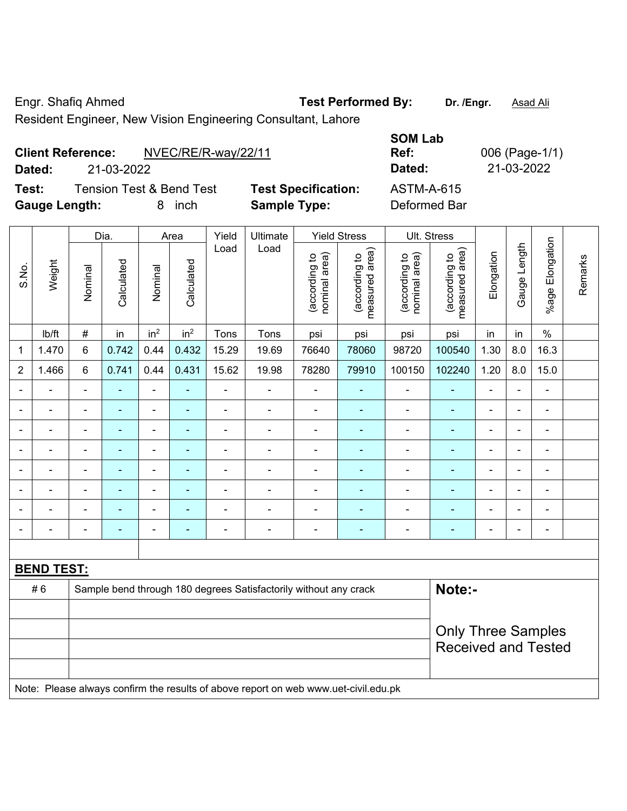Engr. Shafiq Ahmed **Test Performed By:** Dr. /Engr. **Asad Ali Engr.** Asad Ali

Resident Engineer, New Vision Engineering Consultant, Lahore

|                      | NVEC/RE/R-way/22/11<br><b>Client Reference:</b> |                            | <b>SUMLAD</b><br>Ref: |
|----------------------|-------------------------------------------------|----------------------------|-----------------------|
| Dated:               | 21-03-2022                                      |                            | Dated:                |
| Test:                | <b>Tension Test &amp; Bend Test</b>             | <b>Test Specification:</b> | <b>ASTM-A-615</b>     |
| <b>Gauge Length:</b> | inch                                            | <b>Sample Type:</b>        | Deformed Bar          |

**SOM Lab Ref:** 006 (Page-1/1) **Dated:** 21-03-2022 **Dated:** 21-03-2022 **fication:** ASTM-A-615

|                |                          |                | Dia.                     |                              | Area            | Yield          |                                                                                     | Ult. Stress                    |                                 |                                |                                             |                            |                |                              |         |  |
|----------------|--------------------------|----------------|--------------------------|------------------------------|-----------------|----------------|-------------------------------------------------------------------------------------|--------------------------------|---------------------------------|--------------------------------|---------------------------------------------|----------------------------|----------------|------------------------------|---------|--|
| S.No.          | Weight                   | Nominal        | Calculated               | Nominal                      | Calculated      | Load           | Load                                                                                | (according to<br>nominal area) | (according to<br>measured area) | nominal area)<br>(according to | (according to<br>neasured area)<br>measured | Elongation                 | Gauge Length   | Elongation<br>$%$ age        | Remarks |  |
|                | lb/ft                    | $\#$           | in                       | in <sup>2</sup>              | in <sup>2</sup> | Tons           | Tons                                                                                | psi                            | psi                             | psi                            | psi                                         | in                         | in             | $\%$                         |         |  |
| 1              | 1.470                    | 6              | 0.742                    | 0.44                         | 0.432           | 15.29          | 19.69                                                                               | 76640                          | 78060                           | 98720                          | 100540                                      | 1.30                       | 8.0            | 16.3                         |         |  |
| $\overline{2}$ | 1.466                    | $6\phantom{a}$ | 0.741                    | 0.44                         | 0.431           | 15.62          | 19.98                                                                               | 78280                          | 79910                           | 100150                         | 102240                                      | 1.20                       | 8.0            | 15.0                         |         |  |
| $\blacksquare$ |                          | $\blacksquare$ | ä,                       | $\blacksquare$               | ÷.              | $\blacksquare$ |                                                                                     | ä,                             | ÷                               | $\blacksquare$                 | $\blacksquare$                              |                            | ÷              | $\blacksquare$               |         |  |
| $\blacksquare$ | $\blacksquare$           | $\blacksquare$ | ÷,                       | $\qquad \qquad \blacksquare$ | $\blacksquare$  | $\blacksquare$ | ÷                                                                                   | Ē,                             | ÷                               | $\blacksquare$                 | $\blacksquare$                              | $\blacksquare$             | $\blacksquare$ | $\blacksquare$               |         |  |
| $\blacksquare$ | $\overline{\phantom{0}}$ | $\overline{a}$ | $\blacksquare$           | $\overline{\phantom{a}}$     | $\blacksquare$  | $\blacksquare$ | $\blacksquare$                                                                      | $\overline{a}$                 | $\blacksquare$                  | $\overline{a}$                 | $\blacksquare$                              | $\blacksquare$             | $\blacksquare$ | $\qquad \qquad \blacksquare$ |         |  |
| $\blacksquare$ | $\blacksquare$           | $\blacksquare$ | ä,                       | $\blacksquare$               | ٠               | $\blacksquare$ | $\blacksquare$                                                                      | Ē,                             | ۰                               | $\blacksquare$                 | $\blacksquare$                              | $\blacksquare$             |                | $\blacksquare$               |         |  |
| $\blacksquare$ | $\blacksquare$           | $\blacksquare$ | ÷,                       | $\blacksquare$               | $\blacksquare$  | $\blacksquare$ | $\overline{\phantom{a}}$                                                            | $\blacksquare$                 | ÷                               | $\overline{\phantom{a}}$       | ÷                                           | $\blacksquare$             |                | $\blacksquare$               |         |  |
|                |                          |                | Ē.                       | $\blacksquare$               | ۳               |                |                                                                                     | $\blacksquare$                 | $\blacksquare$                  |                                | ۰                                           |                            |                | $\blacksquare$               |         |  |
|                |                          |                |                          |                              |                 |                |                                                                                     |                                |                                 |                                |                                             |                            |                | Ē,                           |         |  |
| $\blacksquare$ |                          | $\blacksquare$ | $\overline{\phantom{0}}$ | ۰                            | ٠               | $\blacksquare$ | $\blacksquare$                                                                      | ٠                              | ۰                               | $\blacksquare$                 | ۰                                           | $\blacksquare$             | $\blacksquare$ | $\blacksquare$               |         |  |
|                |                          |                |                          |                              |                 |                |                                                                                     |                                |                                 |                                |                                             |                            |                |                              |         |  |
|                | <b>BEND TEST:</b>        |                |                          |                              |                 |                |                                                                                     |                                |                                 |                                |                                             |                            |                |                              |         |  |
|                | #6                       |                |                          |                              |                 |                | Sample bend through 180 degrees Satisfactorily without any crack                    |                                |                                 |                                | Note:-                                      |                            |                |                              |         |  |
|                |                          |                |                          |                              |                 |                |                                                                                     |                                |                                 |                                |                                             |                            |                |                              |         |  |
|                |                          |                |                          |                              |                 |                |                                                                                     |                                |                                 |                                | <b>Only Three Samples</b>                   |                            |                |                              |         |  |
|                |                          |                |                          |                              |                 |                |                                                                                     |                                |                                 |                                |                                             | <b>Received and Tested</b> |                |                              |         |  |
|                |                          |                |                          |                              |                 |                |                                                                                     |                                |                                 |                                |                                             |                            |                |                              |         |  |
|                |                          |                |                          |                              |                 |                | Note: Please always confirm the results of above report on web www.uet-civil.edu.pk |                                |                                 |                                |                                             |                            |                |                              |         |  |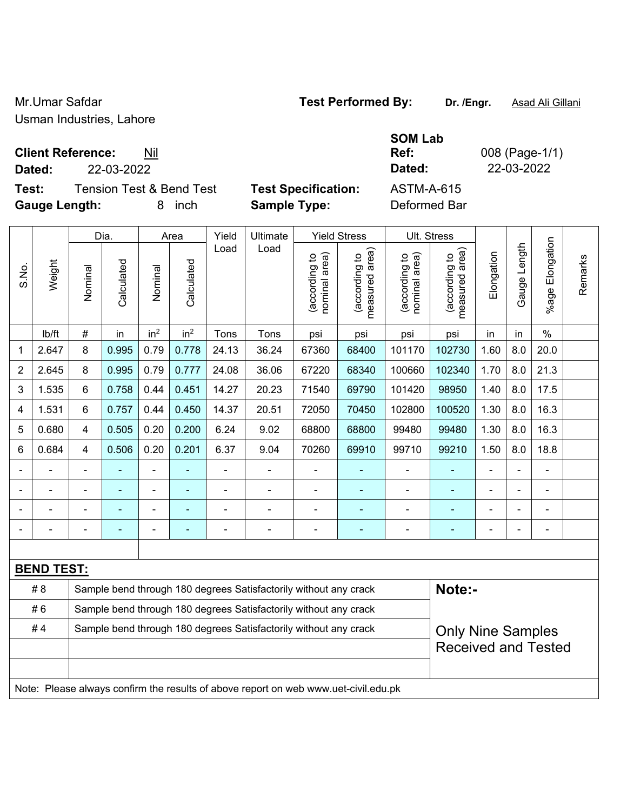Mr.Umar Safdar **Test Performed By:** Dr. /Engr. **Asad Ali Gillani** Assembly Dr. /Engr. **Asad Ali Gillani** Usman Industries, Lahore

**Client Reference:** Nil

**Test:** Tension Test & Bend Test **Test Specification:** ASTM-A-615 **Gauge Length:** 8 inch **Sample Type:** Deformed Bar

**SOM Lab Ref:** 008 (Page-1/1) **Dated:** 22-03-2022 **Dated:** 22-03-2022

|                |                   | Dia.                       |                | Area            |                 | Yield                    | Ultimate                                                                            |                               | <b>Yield Stress</b>             | Ult. Stress                    |                                             |                              |                          |                 |         |
|----------------|-------------------|----------------------------|----------------|-----------------|-----------------|--------------------------|-------------------------------------------------------------------------------------|-------------------------------|---------------------------------|--------------------------------|---------------------------------------------|------------------------------|--------------------------|-----------------|---------|
| S.No.          | Weight            | Nominal                    | Calculated     | Nominal         | Calculated      | Load                     | Load                                                                                | nominal area)<br>according to | (according to<br>measured area) | (according to<br>nominal area) | (according to<br>neasured area)<br>measured | Elongation                   | Gauge Length             | %age Elongation | Remarks |
|                | lb/ft             | $\#$                       | in             | in <sup>2</sup> | in <sup>2</sup> | Tons                     | Tons                                                                                | psi                           | psi                             | psi                            | psi                                         | in                           | in                       | $\frac{0}{0}$   |         |
| 1              | 2.647             | 8                          | 0.995          | 0.79            | 0.778           | 24.13                    | 36.24                                                                               | 67360                         | 68400                           | 101170                         | 102730                                      | 1.60                         | 8.0                      | 20.0            |         |
| $\overline{2}$ | 2.645             | 8                          | 0.995          | 0.79            | 0.777           | 24.08                    | 36.06                                                                               | 67220                         | 68340                           | 100660                         | 102340                                      | 1.70                         | 8.0                      | 21.3            |         |
| 3              | 1.535             | 6                          | 0.758          | 0.44            | 0.451           | 14.27                    | 20.23                                                                               | 71540                         | 69790                           | 101420                         | 98950                                       | 1.40                         | 8.0                      | 17.5            |         |
| 4              | 1.531             | 6                          | 0.757          | 0.44            | 0.450           | 14.37                    | 20.51                                                                               | 72050                         | 70450                           | 102800                         | 100520                                      | 1.30                         | 8.0                      | 16.3            |         |
| 5              | 0.680             | $\overline{4}$             | 0.505          | 0.20            | 0.200           | 6.24                     | 9.02                                                                                | 68800                         | 68800                           | 99480                          | 99480                                       | 1.30                         | 8.0                      | 16.3            |         |
| 6              | 0.684             | $\overline{\mathbf{4}}$    | 0.506          | 0.20            | 0.201           | 6.37                     | 9.04                                                                                | 70260                         | 69910                           | 99710                          | 99210                                       | 1.50                         | 8.0                      | 18.8            |         |
|                |                   | $\overline{\phantom{a}}$   |                |                 |                 |                          | $\overline{a}$                                                                      |                               |                                 |                                |                                             |                              |                          |                 |         |
|                |                   |                            |                | ä,              |                 |                          | ÷                                                                                   | ä,                            | ۰                               | ä,                             |                                             |                              |                          | $\blacksquare$  |         |
|                |                   | $\blacksquare$             | ۰              | $\blacksquare$  | ۰               |                          | ÷                                                                                   | Ē,                            | ٠                               | $\blacksquare$                 |                                             | $\blacksquare$               | $\blacksquare$           | $\blacksquare$  |         |
|                |                   | ٠                          | $\blacksquare$ | -               | ۰               | $\overline{\phantom{0}}$ | $\blacksquare$                                                                      | $\overline{a}$                | $\overline{\phantom{0}}$        | $\blacksquare$                 | $\blacksquare$                              | $\qquad \qquad \blacksquare$ | $\overline{\phantom{0}}$ | $\blacksquare$  |         |
|                |                   |                            |                |                 |                 |                          |                                                                                     |                               |                                 |                                |                                             |                              |                          |                 |         |
|                | <b>BEND TEST:</b> |                            |                |                 |                 |                          |                                                                                     |                               |                                 |                                |                                             |                              |                          |                 |         |
|                | #8                |                            |                |                 |                 |                          | Sample bend through 180 degrees Satisfactorily without any crack                    |                               |                                 |                                | Note:-                                      |                              |                          |                 |         |
|                | #6                |                            |                |                 |                 |                          | Sample bend through 180 degrees Satisfactorily without any crack                    |                               |                                 |                                |                                             |                              |                          |                 |         |
|                | #4                |                            |                |                 |                 |                          | Sample bend through 180 degrees Satisfactorily without any crack                    |                               |                                 |                                | <b>Only Nine Samples</b>                    |                              |                          |                 |         |
|                |                   | <b>Received and Tested</b> |                |                 |                 |                          |                                                                                     |                               |                                 |                                |                                             |                              |                          |                 |         |
|                |                   |                            |                |                 |                 |                          |                                                                                     |                               |                                 |                                |                                             |                              |                          |                 |         |
|                |                   |                            |                |                 |                 |                          | Note: Please always confirm the results of above report on web www.uet-civil.edu.pk |                               |                                 |                                |                                             |                              |                          |                 |         |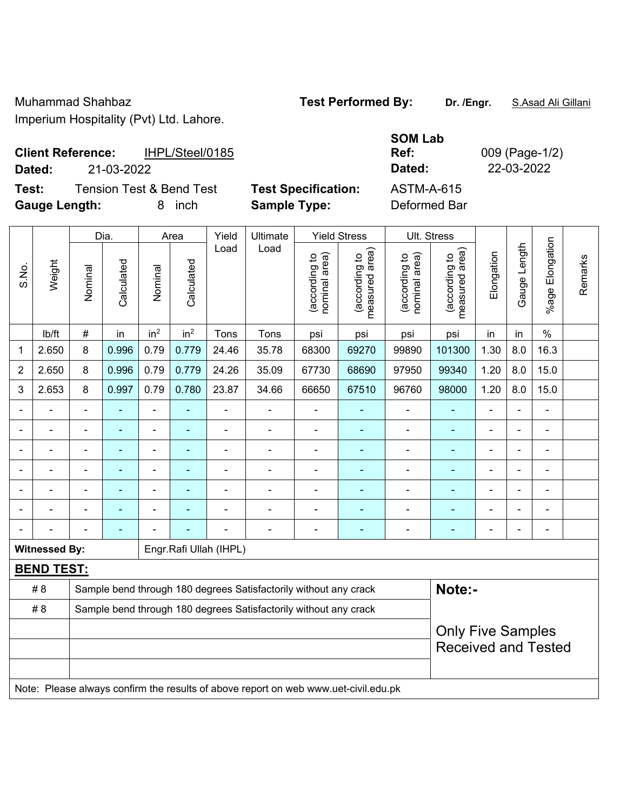Muhammad Shahbaz **Test Performed By: Dr. /Engr.** S.Asad Ali Gillani Imperium Hospitality (Pvt) Ltd. Lahore.

| <b>Client Reference:</b> | IHPL/Steel/0185 | Ref:   | 009 (Page-1/ |
|--------------------------|-----------------|--------|--------------|
| Dated:                   | 21-03-2022      | Dated: | 22-03-2022   |

**Test:** Tension Test & Bend Test **Test Specification:** ASTM-A-615 **Gauge Length:** 8 inch **Sample Type:** Deformed Bar

**SOM Lab Ref:** 009 (Page-1/2)

|                |                      |                                                                                     | Dia.       |                 | Area            | Yield                  | Ultimate                                                         |                                | <b>Yield Stress</b>             |                                | Ult. Stress                     |                          |                |                            |         |
|----------------|----------------------|-------------------------------------------------------------------------------------|------------|-----------------|-----------------|------------------------|------------------------------------------------------------------|--------------------------------|---------------------------------|--------------------------------|---------------------------------|--------------------------|----------------|----------------------------|---------|
| S.No.          | Weight               | Nominal                                                                             | Calculated | Nominal         | Calculated      | Load                   | Load                                                             | nominal area)<br>(according to | measured area)<br>(according to | (according to<br>nominal area) | (according to<br>measured area) | Elongation               | Gauge Length   | Elongation<br>$%$ age      | Remarks |
|                | lb/ft                | $\#$                                                                                | in         | in <sup>2</sup> | in <sup>2</sup> | Tons                   | Tons                                                             | psi                            | psi                             | psi                            | psi                             | in                       | in             | $\%$                       |         |
| $\mathbf{1}$   | 2.650                | $\,8\,$                                                                             | 0.996      | 0.79            | 0.779           | 24.46                  | 35.78                                                            | 68300                          | 69270                           | 99890                          | 101300                          | 1.30                     | 8.0            | 16.3                       |         |
| $\overline{2}$ | 2.650                | 8                                                                                   | 0.996      | 0.79            | 0.779           | 24.26                  | 35.09                                                            | 67730                          | 68690                           | 97950                          | 99340                           | 1.20                     | 8.0            | 15.0                       |         |
| 3              | 2.653                | 8                                                                                   | 0.997      | 0.79            | 0.780           | 23.87                  | 34.66                                                            | 66650                          | 67510                           | 96760                          | 98000                           | 1.20                     | 8.0            | 15.0                       |         |
|                |                      | $\blacksquare$                                                                      | ä,         | $\blacksquare$  |                 | $\blacksquare$         | $\blacksquare$                                                   | $\blacksquare$                 |                                 | $\blacksquare$                 |                                 | -                        |                |                            |         |
|                |                      | $\blacksquare$                                                                      | L,         | $\blacksquare$  | ٠               | $\blacksquare$         | ä,                                                               | $\blacksquare$                 | $\blacksquare$                  | $\blacksquare$                 | $\blacksquare$                  | $\blacksquare$           | $\overline{a}$ | $\blacksquare$             |         |
|                |                      | $\blacksquare$                                                                      | ÷,         | $\blacksquare$  |                 | $\blacksquare$         | ä,                                                               | $\blacksquare$                 |                                 | $\blacksquare$                 | $\blacksquare$                  | ÷                        | $\overline{a}$ | $\blacksquare$             |         |
|                |                      |                                                                                     |            |                 |                 |                        | $\blacksquare$                                                   | $\blacksquare$                 | $\blacksquare$                  |                                |                                 | ۰                        |                |                            |         |
|                |                      | $\blacksquare$                                                                      | ÷,         | ÷               |                 | $\blacksquare$         | $\blacksquare$                                                   | $\blacksquare$                 | ۰                               |                                | $\overline{\phantom{0}}$        | ä,                       | $\blacksquare$ | $\blacksquare$             |         |
|                |                      |                                                                                     | ä,         | -               |                 |                        | $\blacksquare$                                                   | $\blacksquare$                 | ÷                               |                                |                                 | ä,                       |                | $\blacksquare$             |         |
|                |                      |                                                                                     | ä,         |                 |                 |                        | $\blacksquare$                                                   | $\blacksquare$                 |                                 |                                |                                 | $\blacksquare$           |                | $\blacksquare$             |         |
|                | <b>Witnessed By:</b> |                                                                                     |            |                 |                 | Engr.Rafi Ullah (IHPL) |                                                                  |                                |                                 |                                |                                 |                          |                |                            |         |
|                | <b>BEND TEST:</b>    |                                                                                     |            |                 |                 |                        |                                                                  |                                |                                 |                                |                                 |                          |                |                            |         |
|                | # 8                  |                                                                                     |            |                 |                 |                        | Sample bend through 180 degrees Satisfactorily without any crack |                                |                                 |                                | Note:-                          |                          |                |                            |         |
|                | # 8                  |                                                                                     |            |                 |                 |                        | Sample bend through 180 degrees Satisfactorily without any crack |                                |                                 |                                |                                 |                          |                |                            |         |
|                |                      |                                                                                     |            |                 |                 |                        |                                                                  |                                |                                 |                                |                                 | <b>Only Five Samples</b> |                | <b>Received and Tested</b> |         |
|                |                      | Note: Please always confirm the results of above report on web www.uet-civil.edu.pk |            |                 |                 |                        |                                                                  |                                |                                 |                                |                                 |                          |                |                            |         |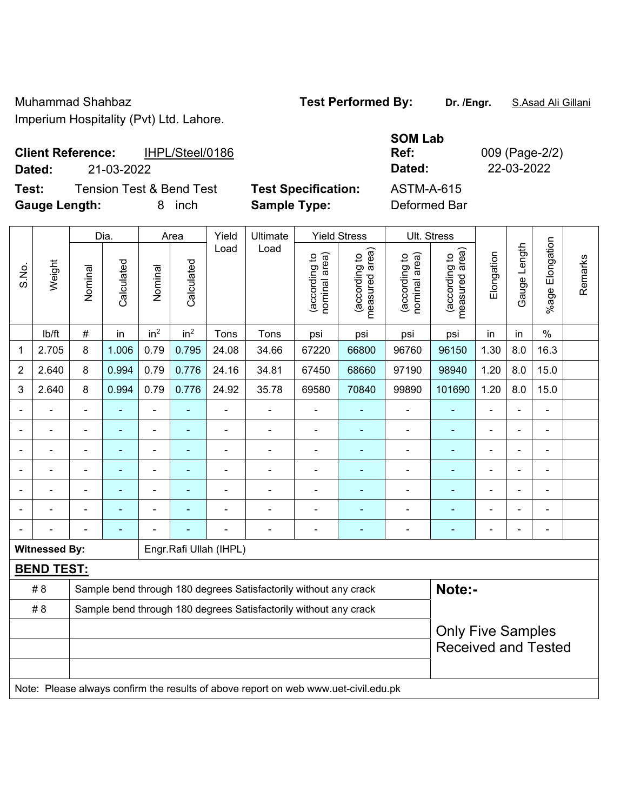Muhammad Shahbaz **Test Performed By: Dr. /Engr.** S.Asad Ali Gillani Imperium Hospitality (Pvt) Ltd. Lahore.

| <b>Client Reference:</b> | IHPL/Steel/0186 | Ref:   | 009 (Page-2/ |
|--------------------------|-----------------|--------|--------------|
| Dated:                   | 21-03-2022      | Dated: | 22-03-2022   |

**Test:** Tension Test & Bend Test **Test Specification:** ASTM-A-615 **Gauge Length:** 8 inch **Sample Type:** Deformed Bar

**SOM Lab Ref:** 009 (Page-2/2)

|                |                      | Dia.<br>Area   |                | Yield           | Ultimate                 |                        | <b>Yield Stress</b>                                                                 |                                | Ult. Stress                     |                                |                                 |                |                |                       |         |
|----------------|----------------------|----------------|----------------|-----------------|--------------------------|------------------------|-------------------------------------------------------------------------------------|--------------------------------|---------------------------------|--------------------------------|---------------------------------|----------------|----------------|-----------------------|---------|
| S.No.          | Weight               | Nominal        | Calculated     | Nominal         | Calculated               | Load                   | Load                                                                                | nominal area)<br>(according to | (according to<br>measured area) | (according to<br>nominal area) | (according to<br>measured area) | Elongation     | Gauge Length   | Elongation<br>$%$ age | Remarks |
|                | lb/ft                | $\#$           | in             | in <sup>2</sup> | in <sup>2</sup>          | Tons                   | Tons                                                                                | psi                            | psi                             | psi                            | psi                             | in             | in             | $\%$                  |         |
| $\mathbf 1$    | 2.705                | 8              | 1.006          | 0.79            | 0.795                    | 24.08                  | 34.66                                                                               | 67220                          | 66800                           | 96760                          | 96150                           | 1.30           | 8.0            | 16.3                  |         |
| $\overline{2}$ | 2.640                | 8              | 0.994          | 0.79            | 0.776                    | 24.16                  | 34.81                                                                               | 67450                          | 68660                           | 97190                          | 98940                           | 1.20           | 8.0            | 15.0                  |         |
| 3              | 2.640                | 8              | 0.994          | 0.79            | 0.776                    | 24.92                  | 35.78                                                                               | 69580                          | 70840                           | 99890                          | 101690                          | 1.20           | 8.0            | 15.0                  |         |
| $\blacksquare$ |                      | ä,             | ä,             | ÷,              |                          | $\blacksquare$         | $\blacksquare$                                                                      | $\blacksquare$                 |                                 | $\blacksquare$                 |                                 | $\blacksquare$ | $\blacksquare$ | $\blacksquare$        |         |
| $\blacksquare$ |                      | $\blacksquare$ | $\blacksquare$ | $\blacksquare$  | $\blacksquare$           | $\blacksquare$         | $\blacksquare$                                                                      | $\overline{\phantom{a}}$       | ٠                               | $\blacksquare$                 | ÷                               | ÷,             | ä,             | $\blacksquare$        |         |
|                |                      | ä,             | ä,             | $\blacksquare$  | $\overline{\phantom{a}}$ | $\blacksquare$         | $\blacksquare$                                                                      | $\blacksquare$                 | ۰                               |                                | $\blacksquare$                  | ä,             | $\blacksquare$ | $\blacksquare$        |         |
|                |                      |                |                | $\blacksquare$  |                          |                        |                                                                                     | ÷                              |                                 |                                |                                 | L.             |                |                       |         |
|                |                      |                |                | $\blacksquare$  |                          |                        |                                                                                     |                                |                                 |                                |                                 |                |                |                       |         |
|                |                      |                |                | ۰               |                          |                        |                                                                                     | $\blacksquare$                 | $\blacksquare$                  |                                |                                 | $\overline{a}$ |                |                       |         |
|                |                      |                | $\blacksquare$ |                 |                          |                        | $\overline{\phantom{0}}$                                                            | $\blacksquare$                 | ٠                               | $\blacksquare$                 | ٠                               | $\blacksquare$ | $\blacksquare$ | $\blacksquare$        |         |
|                | <b>Witnessed By:</b> |                |                |                 |                          | Engr.Rafi Ullah (IHPL) |                                                                                     |                                |                                 |                                |                                 |                |                |                       |         |
|                | <b>BEND TEST:</b>    |                |                |                 |                          |                        |                                                                                     |                                |                                 |                                |                                 |                |                |                       |         |
|                | # 8                  |                |                |                 |                          |                        | Sample bend through 180 degrees Satisfactorily without any crack                    |                                |                                 |                                | Note:-                          |                |                |                       |         |
|                | # 8                  |                |                |                 |                          |                        | Sample bend through 180 degrees Satisfactorily without any crack                    |                                |                                 |                                |                                 |                |                |                       |         |
|                |                      |                |                |                 |                          |                        |                                                                                     |                                |                                 |                                | <b>Only Five Samples</b>        |                |                |                       |         |
|                |                      |                |                |                 |                          |                        | <b>Received and Tested</b>                                                          |                                |                                 |                                |                                 |                |                |                       |         |
|                |                      |                |                |                 |                          |                        |                                                                                     |                                |                                 |                                |                                 |                |                |                       |         |
|                |                      |                |                |                 |                          |                        | Note: Please always confirm the results of above report on web www.uet-civil.edu.pk |                                |                                 |                                |                                 |                |                |                       |         |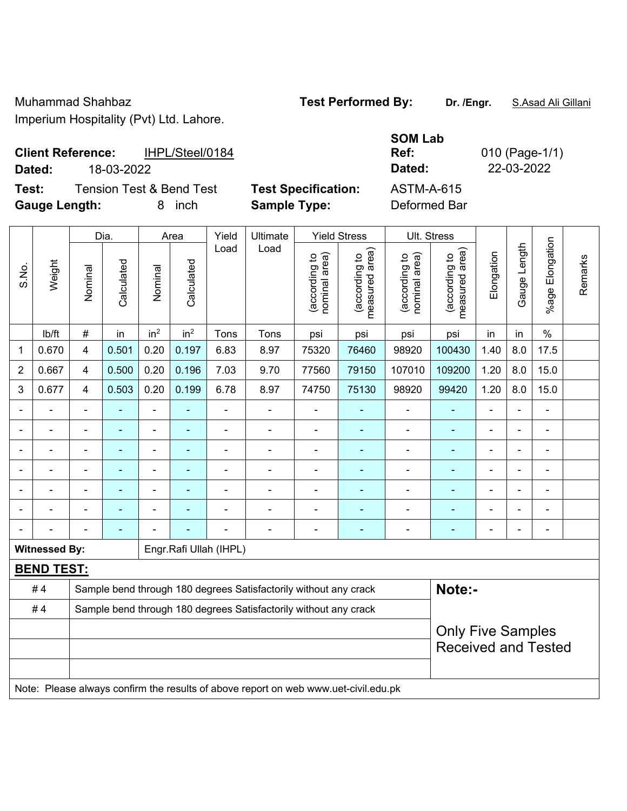Muhammad Shahbaz **Test Performed By: Dr. /Engr.** S.Asad Ali Gillani Imperium Hospitality (Pvt) Ltd. Lahore.

| <b>Client Reference:</b> |            | IHPL/Steel/0184 | Ref:   | 010 (Page-1/ |
|--------------------------|------------|-----------------|--------|--------------|
| Dated:                   | 18-03-2022 |                 | Dated: | 22-03-2022   |

**Test:** Tension Test & Bend Test **Test Specification:** ASTM-A-615 **Gauge Length:** 8 inch **Sample Type:** Deformed Bar

**SOM Lab Ref:** 010 (Page-1/1)

Dia. | Area | Yield | Ultimate | Yield Stress | Ult. Stress %age Elongation %age Elongation Gauge Length Load Load Gauge Length (according to<br>measured area) measured area) (according to<br>measured area) measured area) (according to<br>nominal area) (according to<br>nominal area) Elongation nominal area) nominal area) Elongation (according to (according to (according to (according to Remarks Remarks **Calculated Calculated** Weight Calculated Calculated S.No. Nominal Nominal Vominal Vominal <code>ib/ft</code>  $\mid$  #  $\mid$  in  $\mid$  in<sup>2</sup>  $\mid$  in<sup>2</sup>  $\mid$  Tons  $\mid$  psi  $\mid$  psi  $\mid$  psi  $\mid$  psi  $\mid$  in  $\mid$  in  $\mid$  % 1 | 0.670 | 4 | 0.501 | 0.20 | 0.197 | 6.83 | 8.97 | 75320 | 76460 | 98920 | 100430 | 1.40 | 8.0 | 17.5 2 | 0.667 | 4 | 0.500 | 0.20 | 0.196 | 7.03 | 9.70 | 77560 | 79150 | 107010 | 109200 | 1.20 | 8.0 | 15.0 3 | 0.677 | 4 | 0.503 | 0.20 | 0.199 | 6.78 | 8.97 | 74750 | 75130 | 98920 | 99420 | 1.20 | 8.0 | 15.0 - - - - - - - - - - - - - - - - - - - - - - - - - - - - - - - - - - - - - - - - - - - - - - - - - - - - - - - - - - - - - - - - - - - - - - - - - - - - - - - - - - - - - - - - - - - - - - - - - - - - - - - - - **Witnessed By: Engr.Rafi Ullah (IHPL) BEND TEST:**  # 4 Sample bend through 180 degrees Satisfactorily without any crack **Note:-**#4 Sample bend through 180 degrees Satisfactorily without any crack Only Five Samples Received and Tested

Note: Please always confirm the results of above report on web www.uet-civil.edu.pk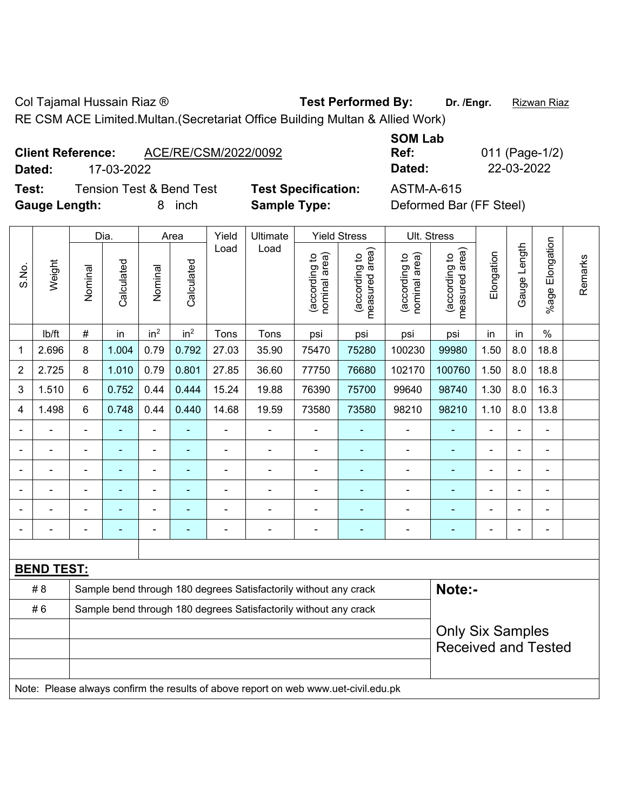Col Tajamal Hussain Riaz ® **Test Performed By:** Dr. /Engr. **Rizwan Riaz** 

RE CSM ACE Limited.Multan.(Secretariat Office Building Multan & Allied Work)

|  | <b>Client Reference:</b> | ACE/RE/CSM/2022/0092 |
|--|--------------------------|----------------------|
|--|--------------------------|----------------------|

**Dated:** 17-03-2022 **Dated:** 22-03-2022

**Test:** Tension Test & Bend Test **Test Specification:** ASTM-A-615 **Gauge Length:** 8 inch **Sample Type:** Deformed Bar (FF Steel)

**SOM Lab Ref:** 011 (Page-1/2)

|                |                   |                | Dia.           |                 | Area            | Yield                    |                                                                                     | Ult. Stress                    |                                 |                                |                                 |                          |              |                 |         |
|----------------|-------------------|----------------|----------------|-----------------|-----------------|--------------------------|-------------------------------------------------------------------------------------|--------------------------------|---------------------------------|--------------------------------|---------------------------------|--------------------------|--------------|-----------------|---------|
| S.No.          | Weight            | Nominal        | Calculated     | Nominal         | Calculated      | Load                     | Load                                                                                | nominal area)<br>(according to | measured area)<br>(according to | nominal area)<br>(according to | (according to<br>measured area) | Elongation               | Gauge Length | %age Elongation | Remarks |
|                | lb/ft             | $\#$           | in             | in <sup>2</sup> | in <sup>2</sup> | Tons                     | Tons                                                                                | psi                            | psi                             | psi                            | psi                             | in                       | in           | $\frac{0}{0}$   |         |
| 1              | 2.696             | 8              | 1.004          | 0.79            | 0.792           | 27.03                    | 35.90                                                                               | 75470                          | 75280                           | 100230                         | 99980                           | 1.50                     | 8.0          | 18.8            |         |
| $\overline{2}$ | 2.725             | 8              | 1.010          | 0.79            | 0.801           | 27.85                    | 36.60                                                                               | 77750                          | 76680                           | 102170                         | 100760                          | 1.50                     | 8.0          | 18.8            |         |
| 3              | 1.510             | 6              | 0.752          | 0.44            | 0.444           | 15.24                    | 19.88                                                                               | 76390                          | 75700                           | 99640                          | 98740                           | 1.30                     | 8.0          | 16.3            |         |
| 4              | 1.498             | 6              | 0.748          | 0.44            | 0.440           | 14.68                    | 19.59                                                                               | 73580                          | 73580                           | 98210                          | 98210                           | 1.10                     | 8.0          | 13.8            |         |
|                |                   |                |                |                 |                 |                          |                                                                                     |                                |                                 |                                |                                 |                          |              |                 |         |
|                |                   | $\blacksquare$ | $\blacksquare$ |                 |                 |                          | $\blacksquare$                                                                      | $\blacksquare$                 | $\blacksquare$                  |                                | $\blacksquare$                  | Ē,                       |              | $\blacksquare$  |         |
|                |                   | $\blacksquare$ | $\blacksquare$ | $\blacksquare$  | $\blacksquare$  | $\overline{\phantom{a}}$ | $\blacksquare$                                                                      | $\blacksquare$                 | $\blacksquare$                  | $\overline{\phantom{a}}$       | $\blacksquare$                  | $\overline{\phantom{a}}$ |              | $\blacksquare$  |         |
|                |                   | $\blacksquare$ | $\blacksquare$ | Ē,              | $\blacksquare$  | ä,                       | ÷                                                                                   | ä,                             |                                 | ä,                             | $\blacksquare$                  | $\blacksquare$           |              | ÷,              |         |
|                |                   |                |                |                 |                 |                          |                                                                                     |                                |                                 |                                | ÷                               |                          |              | $\blacksquare$  |         |
|                |                   |                |                |                 |                 |                          |                                                                                     |                                |                                 |                                | ÷                               |                          |              | ۰               |         |
|                |                   |                |                |                 |                 |                          |                                                                                     |                                |                                 |                                |                                 |                          |              |                 |         |
|                | <b>BEND TEST:</b> |                |                |                 |                 |                          |                                                                                     |                                |                                 |                                |                                 |                          |              |                 |         |
|                | # 8               |                |                |                 |                 |                          | Sample bend through 180 degrees Satisfactorily without any crack                    |                                |                                 |                                | Note:-                          |                          |              |                 |         |
|                | #6                |                |                |                 |                 |                          | Sample bend through 180 degrees Satisfactorily without any crack                    |                                |                                 |                                |                                 |                          |              |                 |         |
|                |                   |                |                |                 |                 |                          | <b>Only Six Samples</b><br><b>Received and Tested</b>                               |                                |                                 |                                |                                 |                          |              |                 |         |
|                |                   |                |                |                 |                 |                          | Note: Please always confirm the results of above report on web www.uet-civil.edu.pk |                                |                                 |                                |                                 |                          |              |                 |         |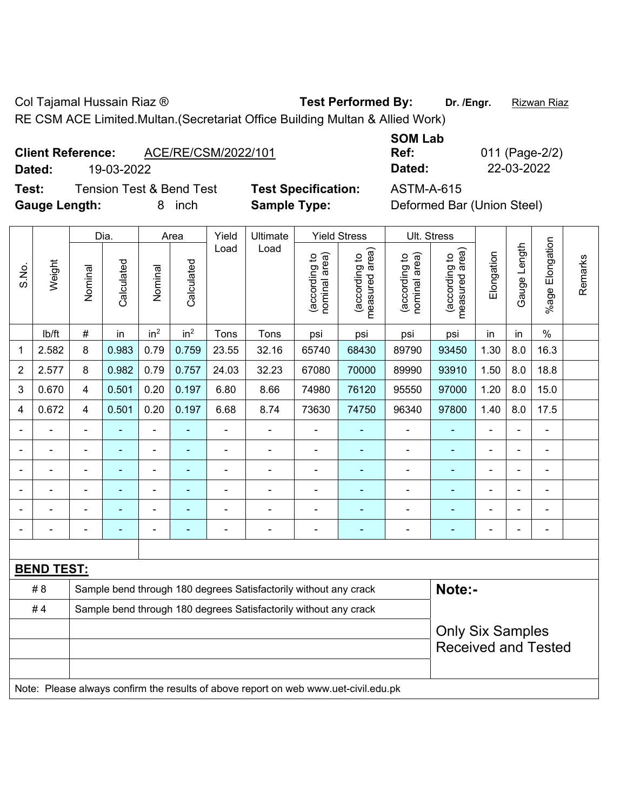Col Tajamal Hussain Riaz ® **Test Performed By:** Dr. /Engr. **Rizwan Riaz** 

RE CSM ACE Limited.Multan.(Secretariat Office Building Multan & Allied Work)

**Test:** Tension Test & Bend Test **Test Specification:** ASTM-A-615 **Gauge Length:** 8 inch **Sample Type:** Deformed Bar (Union Steel)

**SOM Lab Ref:** 011 (Page-2/2) **Dated:** 19-03-2022 **Dated:** 22-03-2022

|                |                   |                | Dia.                                                             |                 | Area            | Yield          | Ultimate                                                                            |                                | <b>Yield Stress</b>             |                                | Ult. Stress                                           |                |                |                       |         |
|----------------|-------------------|----------------|------------------------------------------------------------------|-----------------|-----------------|----------------|-------------------------------------------------------------------------------------|--------------------------------|---------------------------------|--------------------------------|-------------------------------------------------------|----------------|----------------|-----------------------|---------|
| S.No.          | Weight            | Nominal        | Calculated                                                       | Nominal         | Calculated      | Load           | Load                                                                                | nominal area)<br>(according to | (according to<br>measured area) | nominal area)<br>(according to | (according to<br>neasured area)<br>measured           | Elongation     | Gauge Length   | Elongation<br>$%$ age | Remarks |
|                | lb/ft             | #              | in                                                               | in <sup>2</sup> | in <sup>2</sup> | Tons           | Tons                                                                                | psi                            | psi                             | psi                            | psi                                                   | in             | in             | $\%$                  |         |
| 1              | 2.582             | 8              | 0.983                                                            | 0.79            | 0.759           | 23.55          | 32.16                                                                               | 65740                          | 68430                           | 89790                          | 93450                                                 | 1.30           | 8.0            | 16.3                  |         |
| $\overline{2}$ | 2.577             | 8              | 0.982                                                            | 0.79            | 0.757           | 24.03          | 32.23                                                                               | 67080                          | 70000                           | 89990                          | 93910                                                 | 1.50           | 8.0            | 18.8                  |         |
| 3              | 0.670             | 4              | 0.501                                                            | 0.20            | 0.197           | 6.80           | 8.66                                                                                | 74980                          | 76120                           | 95550                          | 97000                                                 | 1.20           | 8.0            | 15.0                  |         |
| 4              | 0.672             | 4              | 0.501                                                            | 0.20            | 0.197           | 6.68           | 8.74                                                                                | 73630                          | 74750                           | 96340                          | 97800                                                 | 1.40           | 8.0            | 17.5                  |         |
|                | ÷.                | $\blacksquare$ | $\blacksquare$                                                   | ÷,              | ä,              | $\blacksquare$ | $\blacksquare$                                                                      | $\blacksquare$                 |                                 | $\blacksquare$                 | $\blacksquare$                                        | $\blacksquare$ | $\blacksquare$ | $\blacksquare$        |         |
|                | $\blacksquare$    | $\blacksquare$ | ä,                                                               | ÷               | ۰               | $\blacksquare$ | ÷                                                                                   | ä,                             |                                 | $\blacksquare$                 | $\blacksquare$                                        | ä,             |                | ä,                    |         |
|                | ä,                |                | $\blacksquare$                                                   | ä,              |                 | ä,             | ÷                                                                                   | ä,                             |                                 | $\blacksquare$                 | ä,                                                    | L,             |                | $\blacksquare$        |         |
|                |                   |                |                                                                  |                 |                 |                |                                                                                     |                                |                                 |                                |                                                       |                |                | $\sim$                |         |
|                |                   |                |                                                                  |                 |                 |                |                                                                                     |                                |                                 |                                |                                                       |                |                |                       |         |
| $\blacksquare$ |                   |                |                                                                  | ÷               |                 |                | Ē,                                                                                  | $\blacksquare$                 | $\blacksquare$                  | ÷,                             | ÷,                                                    |                |                | $\blacksquare$        |         |
|                |                   |                |                                                                  |                 |                 |                |                                                                                     |                                |                                 |                                |                                                       |                |                |                       |         |
|                | <b>BEND TEST:</b> |                |                                                                  |                 |                 |                |                                                                                     |                                |                                 |                                |                                                       |                |                |                       |         |
|                | # 8               |                |                                                                  |                 |                 |                | Sample bend through 180 degrees Satisfactorily without any crack                    |                                |                                 |                                | Note:-                                                |                |                |                       |         |
|                | #4                |                | Sample bend through 180 degrees Satisfactorily without any crack |                 |                 |                |                                                                                     |                                |                                 |                                |                                                       |                |                |                       |         |
|                |                   |                |                                                                  |                 |                 |                |                                                                                     |                                |                                 |                                | <b>Only Six Samples</b><br><b>Received and Tested</b> |                |                |                       |         |
|                |                   |                |                                                                  |                 |                 |                | Note: Please always confirm the results of above report on web www.uet-civil.edu.pk |                                |                                 |                                |                                                       |                |                |                       |         |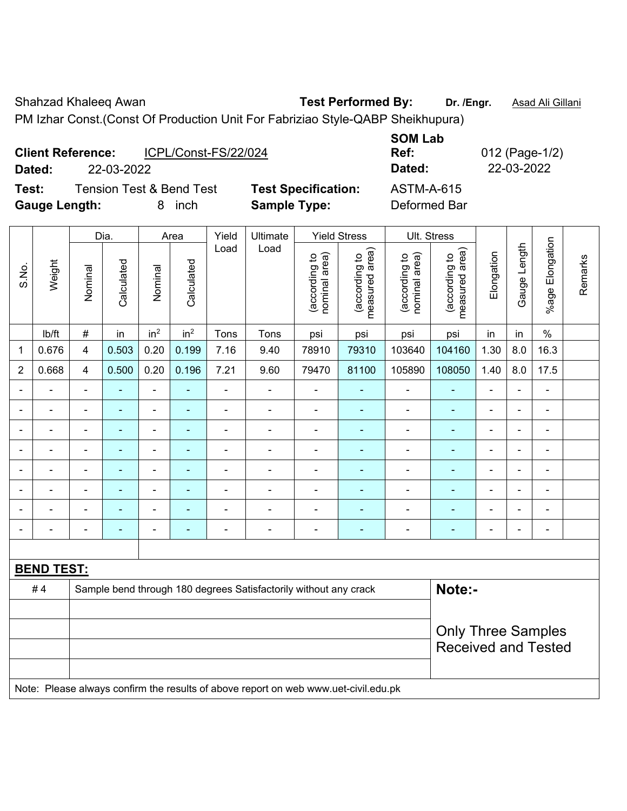Shahzad Khaleeq Awan **Test Performed By: Dr. /Engr.** Asad Ali Gillani

PM Izhar Const.(Const Of Production Unit For Fabriziao Style-QABP Sheikhupura)

| <b>Client Reference:</b> | ICPL/Const-FS/22/024     |                            | --------<br>Ref: | 012 (Page-1/ |
|--------------------------|--------------------------|----------------------------|------------------|--------------|
| Dated:                   | 22-03-2022               |                            | Dated:           | 22-03-2022   |
| Test:                    | Tension Test & Bend Test | <b>Test Specification:</b> | ASTM-A-615       |              |

Nominal

Vominal

**Calculated** 

Calculated

**Specification:** ASTM-A-615 **Gauge Length:** 8 inch **Sample Type:** Deformed Bar

> (according to nominal area)

(according to<br>nominal area)

(according to measured area)

(according to<br>measured area)

(according to nominal area)

(according to<br>nominal area)

Dia. | Area | Yield | Ultimate | Yield Stress | Ult. Stress

<code>ib/ft</code>  $\mid$  #  $\mid$  in  $\mid$  in<sup>2</sup>  $\mid$  in<sup>2</sup>  $\mid$  Tons  $\mid$  psi  $\mid$  psi  $\mid$  psi  $\mid$  psi  $\mid$  in  $\mid$  in  $\mid$  % 1 | 0.676 | 4 | 0.503 | 0.20 | 0.199 | 7.16 | 9.40 | 78910 | 79310 | 103640 | 104160 | 1.30 | 8.0 | 16.3 2 | 0.668 | 4 | 0.500 | 0.20 | 0.196 | 7.21 | 9.60 | 79470 | 81100 | 105890 | 108050 | 1.40 | 8.0 | 17.5 - - - - - - - - - - - - - - - - - - - - - - - - - - - - - - - - - - - - - - - - - - - - - - - - - - - - - - - - - - - - - - - - - - - - - - - - - - - - - - - - - - - - - - - - - - - - - - - - - - - - - - - - - - - - - - - - - - - - - - - -

Load Load

# 4 Sample bend through 180 degrees Satisfactorily without any crack **Note:-**

Note: Please always confirm the results of above report on web www.uet-civil.edu.pk

**SOM Lab Ref:** 012 (Page-1/2)

> (according to measured area)

(according to<br>measured area)

Gauge Length

Gauge Length

%age Elongation

%age Elongation

Remarks

Remarks

**Elongation** 

Elongation

Only Three Samples Received and Tested

Nominal

Vominal

**Calculated** 

Calculated

S.No.

Weight

**BEND TEST:**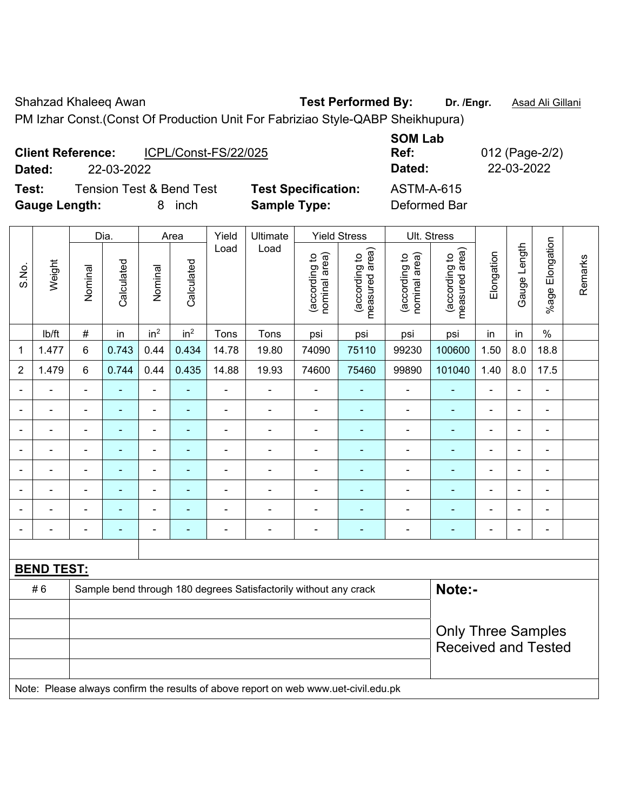Shahzad Khaleeq Awan **Test Performed By:** Dr. /Engr. **Asad Ali Gillani** 

PM Izhar Const.(Const Of Production Unit For Fabriziao Style-QABP Sheikhupura)

| <b>Client Reference:</b> |            | ICPL/Const-FS/22/025                |                  |
|--------------------------|------------|-------------------------------------|------------------|
| Dated:                   | 22-03-2022 |                                     |                  |
| Test:                    |            | <b>Tension Test &amp; Bend Test</b> | <b>Test Sper</b> |

**Gauge Length:** 8 inch **Sample Type:** Deformed Bar

**SOM Lab Ref:** 012 (Page-2/2) **Dated:** 22-03-2022 **Dated:** 22-03-2022 **Testigs: Test Specification:** ASTM-A-615

|                |                                                                        |                          | Dia.           |                          | Area            | Yield                        | Ultimate       |                                | <b>Yield Stress</b>                                     |                                | Ult. Stress                     |                              |                |                          |         |
|----------------|------------------------------------------------------------------------|--------------------------|----------------|--------------------------|-----------------|------------------------------|----------------|--------------------------------|---------------------------------------------------------|--------------------------------|---------------------------------|------------------------------|----------------|--------------------------|---------|
| S.No.          | Weight                                                                 | Nominal                  | Calculated     | Nominal                  | Calculated      | Load                         | Load           | nominal area)<br>(according to | measured area)<br>(according to                         | nominal area)<br>(according to | measured area)<br>(according to | Elongation                   | Gauge Length   | %age Elongation          | Remarks |
|                | lb/ft                                                                  | $\#$                     | in             | in <sup>2</sup>          | in <sup>2</sup> | Tons                         | Tons           | psi                            | psi                                                     | psi                            | psi                             | in                           | in             | $\%$                     |         |
| 1              | 1.477                                                                  | 6                        | 0.743          | 0.44                     | 0.434           | 14.78                        | 19.80          | 74090                          | 75110                                                   | 99230                          | 100600                          | 1.50                         | 8.0            | 18.8                     |         |
| $\overline{2}$ | 1.479                                                                  | 6                        | 0.744          | 0.44                     | 0.435           | 14.88                        | 19.93          | 74600                          | 75460                                                   | 99890                          | 101040                          | 1.40                         | 8.0            | 17.5                     |         |
|                |                                                                        |                          |                | ä,                       |                 | $\blacksquare$               |                |                                |                                                         | $\blacksquare$                 |                                 | $\blacksquare$               | $\blacksquare$ | $\blacksquare$           |         |
|                | ÷                                                                      | $\blacksquare$           | ÷,             | $\overline{\phantom{0}}$ | ٠               | $\blacksquare$               | ä,             | L,                             | $\blacksquare$                                          | ÷,                             | ÷                               | $\qquad \qquad \blacksquare$ | ä,             | $\blacksquare$           |         |
|                | Ē.                                                                     | $\blacksquare$           | $\blacksquare$ | ۰                        | $\blacksquare$  | $\qquad \qquad \blacksquare$ | $\blacksquare$ | Ē,                             | $\overline{\phantom{a}}$                                | ÷                              | $\blacksquare$                  | ۰                            | $\blacksquare$ | $\blacksquare$           |         |
|                |                                                                        |                          | ۳              | $\overline{a}$           | $\blacksquare$  | $\blacksquare$               |                |                                |                                                         | ۰                              | Ē.                              | $\blacksquare$               | $\blacksquare$ | $\blacksquare$           |         |
|                | Ē.                                                                     | $\blacksquare$           | $\blacksquare$ | ۰                        | ۰               | $\blacksquare$               | $\blacksquare$ |                                |                                                         | ÷                              | $\blacksquare$                  | $\blacksquare$               | $\blacksquare$ | $\overline{\phantom{a}}$ |         |
|                |                                                                        |                          | $\blacksquare$ | $\blacksquare$           | ۰               | $\blacksquare$               | $\blacksquare$ | Ē,                             | $\overline{\phantom{a}}$                                | $\blacksquare$                 | Ē,                              | $\blacksquare$               |                | $\blacksquare$           |         |
|                | $\blacksquare$                                                         | $\overline{\phantom{0}}$ | $\blacksquare$ | ۰                        | $\blacksquare$  | $\blacksquare$               | $\blacksquare$ | ٠                              |                                                         | $\overline{a}$                 | $\blacksquare$                  | ۰                            | $\blacksquare$ | $\blacksquare$           |         |
|                | L.                                                                     |                          | $\blacksquare$ | ÷                        | ۰               | $\blacksquare$               | ÷              | Ē,                             | $\overline{\phantom{a}}$                                | ÷                              | $\blacksquare$                  | $\blacksquare$               | $\blacksquare$ | $\overline{\phantom{a}}$ |         |
|                |                                                                        |                          |                |                          |                 |                              |                |                                |                                                         |                                |                                 |                              |                |                          |         |
|                | <b>BEND TEST:</b>                                                      |                          |                |                          |                 |                              |                |                                |                                                         |                                |                                 |                              |                |                          |         |
|                | #6<br>Sample bend through 180 degrees Satisfactorily without any crack |                          |                |                          |                 |                              |                |                                |                                                         |                                | Note:-                          |                              |                |                          |         |
|                |                                                                        |                          |                |                          |                 |                              |                |                                |                                                         |                                |                                 |                              |                |                          |         |
|                |                                                                        |                          |                |                          |                 |                              |                |                                | <b>Only Three Samples</b><br><b>Received and Tested</b> |                                |                                 |                              |                |                          |         |
|                |                                                                        |                          |                |                          |                 |                              |                |                                |                                                         |                                |                                 |                              |                |                          |         |

Note: Please always confirm the results of above report on web www.uet-civil.edu.pk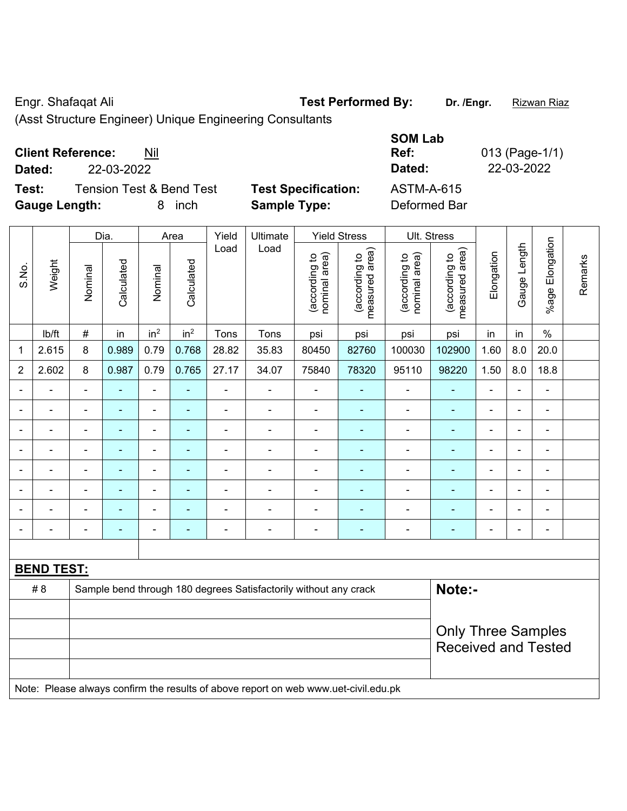Engr. Shafaqat Ali **Test Performed By:** Dr. /Engr. **Rizwan Riaz** 

(Asst Structure Engineer) Unique Engineering Consultants

**Test:** Tension Test & Bend Test **Test Specification: Gauge Length:** 8 inch **Sample Type:** Deformed Bar

| <b>Client Reference:</b><br>Nil              |                            | <b>SOM Lab</b><br>Ref: | 013 (Page-1/1) |
|----------------------------------------------|----------------------------|------------------------|----------------|
| 22-03-2022<br>Dated:                         |                            | Dated:                 | 22-03-2022     |
| Test:<br><b>Tension Test &amp; Bend Test</b> | <b>Test Specification:</b> | ASTM-A-615             |                |
| Gauge Length:<br>8 inch                      | Sample Type:               | Deformed Bar           |                |

|                |                                                                                     |                | Dia.                     |                          | Area            | Yield          | Ultimate                                                         |                                | <b>Yield Stress</b>             |                                | Ult. Stress                                             |                |                          |                              |         |
|----------------|-------------------------------------------------------------------------------------|----------------|--------------------------|--------------------------|-----------------|----------------|------------------------------------------------------------------|--------------------------------|---------------------------------|--------------------------------|---------------------------------------------------------|----------------|--------------------------|------------------------------|---------|
| S.No.          | Weight                                                                              | Nominal        | Calculated               | Nominal                  | Calculated      | Load           | Load                                                             | nominal area)<br>(according to | (according to<br>measured area) | (according to<br>nominal area) | (according to<br>measured area)                         | Elongation     | Gauge Length             | Elongation<br>$%$ age        | Remarks |
|                | Ib/ft                                                                               | #              | in                       | in <sup>2</sup>          | in <sup>2</sup> | Tons           | Tons                                                             | psi                            | psi                             | psi                            | psi                                                     | in             | in                       | $\%$                         |         |
| 1              | 2.615                                                                               | 8              | 0.989                    | 0.79                     | 0.768           | 28.82          | 35.83                                                            | 80450                          | 82760                           | 100030                         | 102900                                                  | 1.60           | 8.0                      | 20.0                         |         |
| $\overline{2}$ | 2.602                                                                               | 8              | 0.987                    | 0.79                     | 0.765           | 27.17          | 34.07                                                            | 75840                          | 78320                           | 95110                          | 98220                                                   | 1.50           | 8.0                      | 18.8                         |         |
|                |                                                                                     | $\blacksquare$ |                          | $\blacksquare$           |                 | $\blacksquare$ | $\blacksquare$                                                   | $\blacksquare$                 |                                 | $\blacksquare$                 |                                                         | ä,             |                          | ÷,                           |         |
|                |                                                                                     |                |                          |                          |                 |                | $\blacksquare$                                                   | $\blacksquare$                 | ٠                               | $\blacksquare$                 | ۰                                                       | $\blacksquare$ |                          | $\blacksquare$               |         |
| $\blacksquare$ | $\blacksquare$                                                                      | $\blacksquare$ | $\overline{\phantom{0}}$ | $\overline{\phantom{0}}$ | ٠               | $\blacksquare$ | $\blacksquare$                                                   | $\blacksquare$                 | ۰                               | $\blacksquare$                 | ۰                                                       | $\blacksquare$ | $\overline{\phantom{0}}$ | $\overline{\phantom{a}}$     |         |
| Ē,             | $\blacksquare$                                                                      | $\blacksquare$ |                          | $\blacksquare$           | $\blacksquare$  | Ē,             | $\overline{\phantom{a}}$                                         | $\overline{\phantom{a}}$       | $\blacksquare$                  | $\blacksquare$                 | ÷                                                       | $\blacksquare$ | $\blacksquare$           | $\blacksquare$               |         |
|                | $\blacksquare$                                                                      | $\blacksquare$ | $\blacksquare$           | $\blacksquare$           | $\blacksquare$  | ä,             | $\blacksquare$                                                   | $\blacksquare$                 | $\blacksquare$                  | $\blacksquare$                 | ÷                                                       | ä,             | $\overline{a}$           | $\blacksquare$               |         |
|                |                                                                                     |                |                          | $\blacksquare$           |                 | $\blacksquare$ | $\blacksquare$                                                   | ÷                              |                                 | $\blacksquare$                 | ÷                                                       | $\blacksquare$ |                          | $\blacksquare$               |         |
|                |                                                                                     |                |                          |                          |                 |                | $\blacksquare$                                                   | $\blacksquare$                 | $\blacksquare$                  | $\blacksquare$                 | ۰                                                       |                |                          | $\blacksquare$               |         |
| $\blacksquare$ | ۰                                                                                   | $\blacksquare$ | $\overline{\phantom{0}}$ | $\overline{\phantom{0}}$ | $\overline{a}$  | ٠              | $\overline{\phantom{a}}$                                         | $\blacksquare$                 | $\blacksquare$                  | $\blacksquare$                 | ۰                                                       | $\blacksquare$ | $\blacksquare$           | $\qquad \qquad \blacksquare$ |         |
|                |                                                                                     |                |                          |                          |                 |                |                                                                  |                                |                                 |                                |                                                         |                |                          |                              |         |
|                | <b>BEND TEST:</b>                                                                   |                |                          |                          |                 |                |                                                                  |                                |                                 |                                |                                                         |                |                          |                              |         |
|                | # 8                                                                                 |                |                          |                          |                 |                | Sample bend through 180 degrees Satisfactorily without any crack |                                |                                 |                                | Note:-                                                  |                |                          |                              |         |
|                |                                                                                     |                |                          |                          |                 |                |                                                                  |                                |                                 |                                |                                                         |                |                          |                              |         |
|                |                                                                                     |                |                          |                          |                 |                |                                                                  |                                |                                 |                                | <b>Only Three Samples</b><br><b>Received and Tested</b> |                |                          |                              |         |
|                |                                                                                     |                |                          |                          |                 |                |                                                                  |                                |                                 |                                |                                                         |                |                          |                              |         |
|                | Note: Please always confirm the results of above report on web www.uet-civil.edu.pk |                |                          |                          |                 |                |                                                                  |                                |                                 |                                |                                                         |                |                          |                              |         |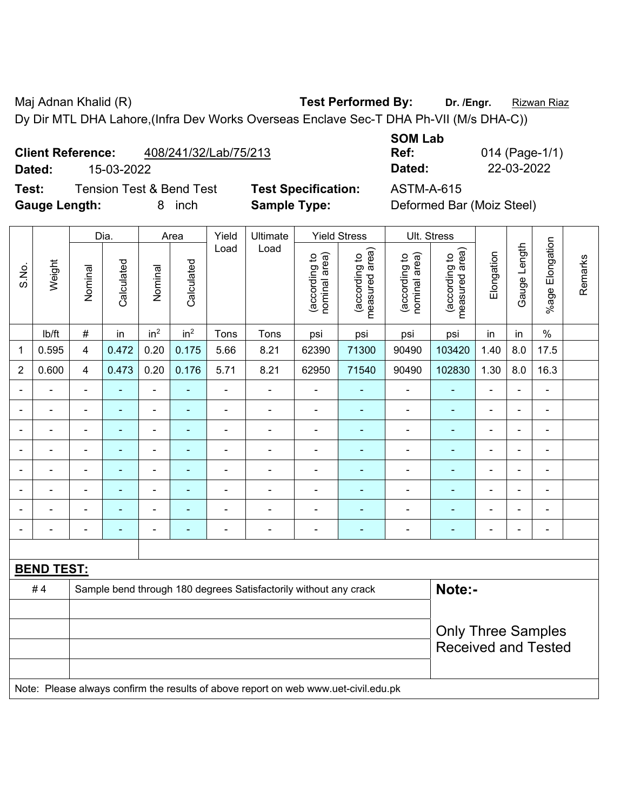Maj Adnan Khalid (R) **Test Performed By: Dr. /Engr.** Rizwan Riaz

Dy Dir MTL DHA Lahore,(Infra Dev Works Overseas Enclave Sec-T DHA Ph-VII (M/s DHA-C))

**Test:** Tension Test & Bend Test **Test Specification:** ASTM-A-615 **Gauge Length:** 8 inch **Sample Type:** Deformed Bar (Moiz Steel)

**SOM Lab Ref:** 014 (Page-1/1) **Dated:** 15-03-2022 **Dated:** 22-03-2022

Dia. | Area | Yield | Ultimate | Yield Stress | Ult. Stress %age Elongation %age Elongation Gauge Length Gauge Length Load Load (according to<br>measured area) measured area) (according to<br>measured area) measured area) (according to<br>nominal area) (according to<br>nominal area) Elongation **Elongation** nominal area) nominal area) (according to (according to (according to (according to Remarks Remarks **Calculated Calculated** Weight Calculated Calculated S.No. Nominal Nominal Vominal Vominal <code>ib/ft</code>  $\mid$  #  $\mid$  in  $\mid$  in<sup>2</sup>  $\mid$  in<sup>2</sup>  $\mid$  Tons  $\mid$  psi  $\mid$  psi  $\mid$  psi  $\mid$  psi  $\mid$  in  $\mid$  in  $\mid$  % 1 | 0.595 | 4 | 0.472 | 0.20 | 0.175 | 5.66 | 8.21 | 62390 | 71300 | 90490 | 103420 | 1.40 | 8.0 | 17.5 2 | 0.600 | 4 | 0.473 | 0.20 | 0.176 | 5.71 | 8.21 | 62950 | 71540 | 90490 | 102830 | 1.30 | 8.0 | 16.3 - - - - - - - - - - - - - - - - - - - - - - - - - - - - - - - - - - - - - - - - - - - - - - - - - - - - - - - - - - - - - - - - - - - - - - - - - - - - - - - - - - - - - - - - - - - - - - - - - - - - - - - - - - - - - - - - - - - - - - - - **BEND TEST:**  # 4 Sample bend through 180 degrees Satisfactorily without any crack **Note:-**Only Three Samples Received and Tested

Note: Please always confirm the results of above report on web www.uet-civil.edu.pk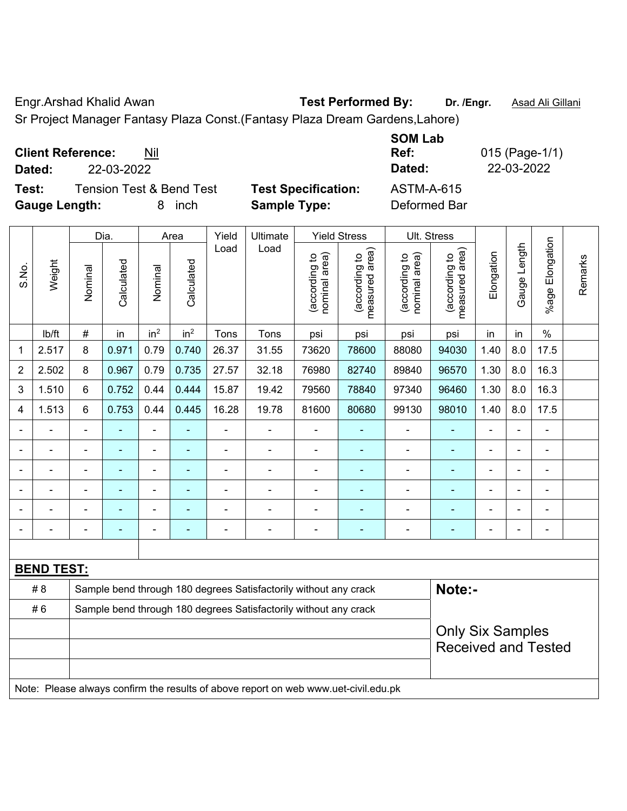Engr.Arshad Khalid Awan **Test Performed By: Dr. /Engr.** Asad Ali Gillani

Sr Project Manager Fantasy Plaza Const.(Fantasy Plaza Dream Gardens,Lahore)

**Client Reference:** Nil

**Dated:** 22-03-2022 **Dated:** 22-03-2022

**Test:** Tension Test & Bend Test Test Specification: **Gauge Length:** 8 inch **Sample Type:** Deformed Bar

| <b>SOM Lab</b>    |                |
|-------------------|----------------|
| Ref:              | 015 (Page-1/1) |
| Dated:            | 22-03-2022     |
| <b>ASTM-A-615</b> |                |

|                |                   |                                                                  | Dia.           |                 | Area                     | Yield                      | Ultimate                                                                            |                                | <b>Yield Stress</b>             |                                | Ult. Stress                                 |                |                |                       |         |
|----------------|-------------------|------------------------------------------------------------------|----------------|-----------------|--------------------------|----------------------------|-------------------------------------------------------------------------------------|--------------------------------|---------------------------------|--------------------------------|---------------------------------------------|----------------|----------------|-----------------------|---------|
| S.No.          | Weight            | Nominal                                                          | Calculated     | Nominal         | Calculated               | Load                       | Load                                                                                | nominal area)<br>(according to | measured area)<br>(according to | (according to<br>nominal area) | (according to<br>neasured area)<br>measured | Elongation     | Gauge Length   | Elongation<br>$%$ age | Remarks |
|                | lb/ft             | $\#$                                                             | in             | in <sup>2</sup> | in <sup>2</sup>          | Tons                       | Tons                                                                                | psi                            | psi                             | psi                            | psi                                         | in             | in             | $\%$                  |         |
| 1              | 2.517             | 8                                                                | 0.971          | 0.79            | 0.740                    | 26.37                      | 31.55                                                                               | 73620                          | 78600                           | 88080                          | 94030                                       | 1.40           | 8.0            | 17.5                  |         |
| $\overline{2}$ | 2.502             | 8                                                                | 0.967          | 0.79            | 0.735                    | 27.57                      | 32.18                                                                               | 76980                          | 82740                           | 89840                          | 96570                                       | 1.30           | 8.0            | 16.3                  |         |
| 3              | 1.510             | $6\phantom{1}$                                                   | 0.752          | 0.44            | 0.444                    | 15.87                      | 19.42                                                                               | 79560                          | 78840                           | 97340                          | 96460                                       | 1.30           | 8.0            | 16.3                  |         |
| 4              | 1.513             | $\,6$                                                            | 0.753          | 0.44            | 0.445                    | 16.28                      | 19.78                                                                               | 81600                          | 80680                           | 99130                          | 98010                                       | 1.40           | 8.0            | 17.5                  |         |
|                |                   |                                                                  |                |                 |                          |                            |                                                                                     |                                |                                 |                                |                                             |                |                |                       |         |
| $\blacksquare$ |                   | $\blacksquare$                                                   | ÷              | ۰               | $\overline{\phantom{0}}$ |                            | $\blacksquare$                                                                      | $\blacksquare$                 | ۰                               | $\blacksquare$                 | -                                           | $\blacksquare$ | $\blacksquare$ | ۰                     |         |
| $\blacksquare$ | $\blacksquare$    | $\blacksquare$                                                   | ä,             | $\blacksquare$  | ۰                        |                            | $\blacksquare$                                                                      | $\blacksquare$                 | ٠                               | $\blacksquare$                 | ä,                                          | $\blacksquare$ | $\blacksquare$ | $\blacksquare$        |         |
|                | $\blacksquare$    | $\blacksquare$                                                   | $\blacksquare$ | ۰               | ۰                        |                            |                                                                                     | $\blacksquare$                 | ۰                               |                                | $\blacksquare$                              |                |                | $\blacksquare$        |         |
|                |                   |                                                                  |                |                 |                          |                            | ÷                                                                                   | $\blacksquare$                 | ۰                               |                                | ÷,                                          | $\blacksquare$ |                | $\blacksquare$        |         |
|                |                   |                                                                  |                |                 |                          |                            |                                                                                     |                                |                                 |                                | $\blacksquare$                              |                |                | -                     |         |
|                |                   |                                                                  |                |                 |                          |                            |                                                                                     |                                |                                 |                                |                                             |                |                |                       |         |
|                | <b>BEND TEST:</b> |                                                                  |                |                 |                          |                            |                                                                                     |                                |                                 |                                |                                             |                |                |                       |         |
|                | # 8               |                                                                  |                |                 |                          |                            | Sample bend through 180 degrees Satisfactorily without any crack                    |                                |                                 |                                | Note:-                                      |                |                |                       |         |
|                | #6                | Sample bend through 180 degrees Satisfactorily without any crack |                |                 |                          |                            |                                                                                     |                                |                                 |                                |                                             |                |                |                       |         |
|                |                   |                                                                  |                |                 |                          |                            |                                                                                     |                                |                                 | <b>Only Six Samples</b>        |                                             |                |                |                       |         |
|                |                   |                                                                  |                |                 |                          | <b>Received and Tested</b> |                                                                                     |                                |                                 |                                |                                             |                |                |                       |         |
|                |                   |                                                                  |                |                 |                          |                            | Note: Please always confirm the results of above report on web www.uet-civil.edu.pk |                                |                                 |                                |                                             |                |                |                       |         |
|                |                   |                                                                  |                |                 |                          |                            |                                                                                     |                                |                                 |                                |                                             |                |                |                       |         |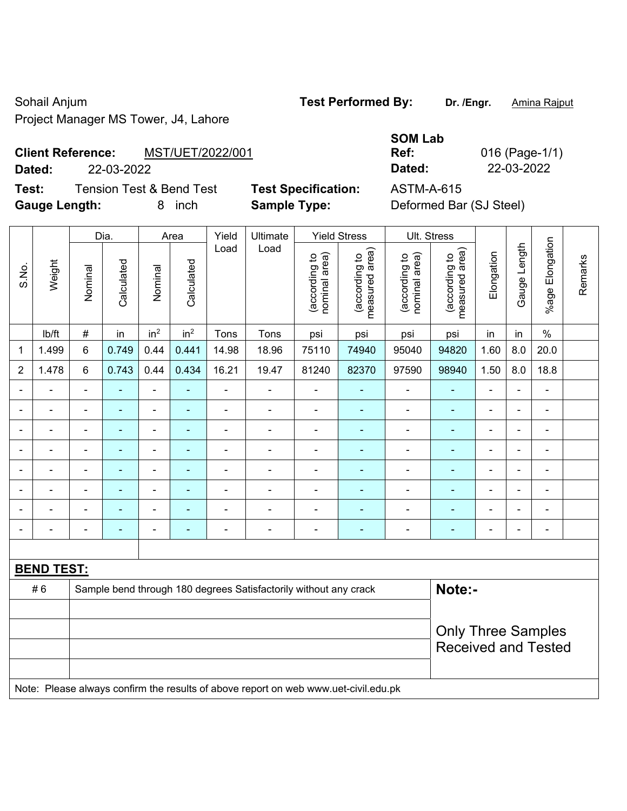### Sohail Anjum **Test Performed By:** Dr. /Engr. **Amina Rajput Sohail Anjum** Project Manager MS Tower, J4, Lahore

# **Client Reference:** MST/UET/2022/001

**Test:** Tension Test & Bend Test **Test Specification:** ASTM-A-615 **Gauge Length:** 8 inch **Sample Type:** Deformed Bar (SJ Steel)

|                          |                  | <b>SOM Lab</b> |              |
|--------------------------|------------------|----------------|--------------|
| <b>Client Reference:</b> | MST/UET/2022/001 | Ref:           | 016 (Page-1/ |
| Dated:                   | 22-03-2022       | Dated:         | 22-03-2022   |
|                          |                  |                |              |

Page-1/1)

|                |                   |                | Dia.           |                          | Area            | Yield          | Ultimate                                                                            |                                | <b>Yield Stress</b>             |                                | <b>Ult. Stress</b>              |                |                |                              |         |
|----------------|-------------------|----------------|----------------|--------------------------|-----------------|----------------|-------------------------------------------------------------------------------------|--------------------------------|---------------------------------|--------------------------------|---------------------------------|----------------|----------------|------------------------------|---------|
| S.No.          | Weight            | Nominal        | Calculated     | Nominal                  | Calculated      | Load           | Load                                                                                | nominal area)<br>(according to | (according to<br>measured area) | (according to<br>nominal area) | (according to<br>measured area) | Elongation     | Gauge Length   | %age Elongation              | Remarks |
|                | Ib/ft             | $\#$           | in             | in <sup>2</sup>          | in <sup>2</sup> | Tons           | Tons                                                                                | psi                            | psi                             | psi                            | psi                             | in             | in             | $\%$                         |         |
| 1              | 1.499             | 6              | 0.749          | 0.44                     | 0.441           | 14.98          | 18.96                                                                               | 75110                          | 74940                           | 95040                          | 94820                           | 1.60           | 8.0            | 20.0                         |         |
| $\overline{2}$ | 1.478             | 6              | 0.743          | 0.44                     | 0.434           | 16.21          | 19.47                                                                               | 81240                          | 82370                           | 97590                          | 98940                           | 1.50           | 8.0            | 18.8                         |         |
|                |                   | $\blacksquare$ |                |                          |                 | ÷,             | ÷,                                                                                  | $\blacksquare$                 |                                 |                                |                                 | $\blacksquare$ |                | ÷,                           |         |
|                |                   | $\blacksquare$ | $\overline{a}$ | $\blacksquare$           |                 |                | ÷                                                                                   | $\blacksquare$                 | ٠                               | $\blacksquare$                 | $\blacksquare$                  | $\blacksquare$ |                | $\blacksquare$               |         |
| $\blacksquare$ | $\blacksquare$    | $\blacksquare$ | ۰              | $\overline{\phantom{a}}$ | ٠               | $\blacksquare$ | $\blacksquare$                                                                      | $\blacksquare$                 | ٠                               | $\overline{\phantom{0}}$       | $\blacksquare$                  | $\blacksquare$ | $\blacksquare$ | ۰                            |         |
| $\blacksquare$ | ä,                | $\blacksquare$ | $\blacksquare$ | ÷,                       | $\blacksquare$  | $\blacksquare$ | ä,                                                                                  | ä,                             | ä,                              | $\blacksquare$                 | $\blacksquare$                  | $\blacksquare$ | ÷,             | $\qquad \qquad \blacksquare$ |         |
|                | $\blacksquare$    | ÷,             | $\blacksquare$ | $\blacksquare$           | $\blacksquare$  | $\blacksquare$ | ÷                                                                                   | ä,                             | $\blacksquare$                  | $\overline{\phantom{a}}$       | $\blacksquare$                  | $\blacksquare$ |                | $\blacksquare$               |         |
|                | $\blacksquare$    | ä,             |                | $\blacksquare$           | $\blacksquare$  | $\blacksquare$ | Ē,                                                                                  | $\blacksquare$                 |                                 | $\blacksquare$                 | $\blacksquare$                  |                |                | $\blacksquare$               |         |
|                |                   |                |                |                          |                 |                | ÷                                                                                   | $\blacksquare$                 |                                 | $\blacksquare$                 |                                 |                |                | $\blacksquare$               |         |
| $\blacksquare$ | $\blacksquare$    | $\blacksquare$ | $\blacksquare$ | $\blacksquare$           | $\blacksquare$  | $\blacksquare$ | ÷                                                                                   | $\blacksquare$                 | $\blacksquare$                  | Ē,                             | $\blacksquare$                  | $\blacksquare$ | $\blacksquare$ | ÷,                           |         |
|                |                   |                |                |                          |                 |                |                                                                                     |                                |                                 |                                |                                 |                |                |                              |         |
|                | <b>BEND TEST:</b> |                |                |                          |                 |                |                                                                                     |                                |                                 |                                |                                 |                |                |                              |         |
|                | #6                |                |                |                          |                 |                | Sample bend through 180 degrees Satisfactorily without any crack                    |                                |                                 |                                | Note:-                          |                |                |                              |         |
|                |                   |                |                |                          |                 |                |                                                                                     |                                |                                 |                                |                                 |                |                |                              |         |
|                |                   |                |                |                          |                 |                |                                                                                     |                                |                                 |                                | <b>Only Three Samples</b>       |                |                |                              |         |
|                |                   |                |                |                          |                 |                |                                                                                     |                                |                                 |                                | <b>Received and Tested</b>      |                |                |                              |         |
|                |                   |                |                |                          |                 |                |                                                                                     |                                |                                 |                                |                                 |                |                |                              |         |
|                |                   |                |                |                          |                 |                | Note: Please always confirm the results of above report on web www.uet-civil.edu.pk |                                |                                 |                                |                                 |                |                |                              |         |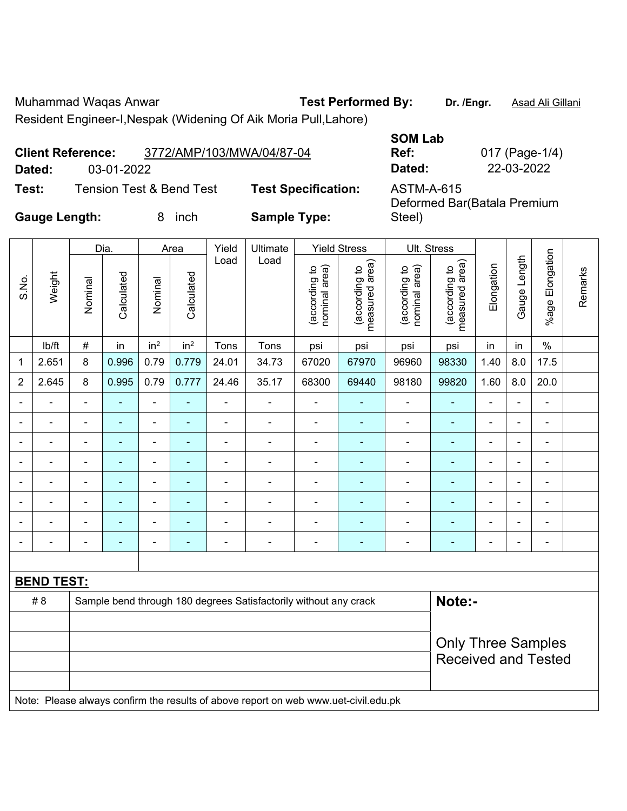Muhammad Waqas Anwar **Test Performed By:** Dr. /Engr. **Asad Ali Gillani** Resident Engineer-I Nespak (Widening Of Aik Moria Pull Lahore)

|                          |            | Resident Engineer-Respak (Widening Of Alk Mona Puli, Lanore) |                |              |
|--------------------------|------------|--------------------------------------------------------------|----------------|--------------|
|                          |            |                                                              | <b>SOM Lab</b> |              |
| <b>Client Reference:</b> |            | 3772/AMP/103/MWA/04/87-04                                    | Ref:           | 017 (Page-1/ |
| Dated:                   | 03-01-2022 |                                                              | Dated:         | 22-03-2022   |

**Test:** Tension Test & Bend Test **Test Specification:** ASTM-A-615

**Gauge Length:** 8 inch **Sample Type:** 

Deformed Bar(Batala Premium Steel)

017 (Page-1/4)

|                |                   |                | Dia.           |                          | Area            | Yield          | Ultimate                                                                            |                                | <b>Yield Stress</b>             |                                | Ult. Stress                     |                |                          |                 |         |
|----------------|-------------------|----------------|----------------|--------------------------|-----------------|----------------|-------------------------------------------------------------------------------------|--------------------------------|---------------------------------|--------------------------------|---------------------------------|----------------|--------------------------|-----------------|---------|
| S.No.          | Weight            | Nominal        | Calculated     | Nominal                  | Calculated      | Load           | Load                                                                                | nominal area)<br>(according to | (according to<br>measured area) | (according to<br>nominal area) | (according to<br>measured area) | Elongation     | Gauge Length             | %age Elongation | Remarks |
|                | lb/ft             | $\#$           | in             | in <sup>2</sup>          | in <sup>2</sup> | Tons           | Tons                                                                                | psi                            | psi                             | psi                            | psi                             | in             | in                       | $\%$            |         |
| 1              | 2.651             | 8              | 0.996          | 0.79                     | 0.779           | 24.01          | 34.73                                                                               | 67020                          | 67970                           | 96960                          | 98330                           | 1.40           | 8.0                      | 17.5            |         |
| $\overline{2}$ | 2.645             | 8              | 0.995          | 0.79                     | 0.777           | 24.46          | 35.17                                                                               | 68300                          | 69440                           | 98180                          | 99820                           | 1.60           | 8.0                      | 20.0            |         |
|                |                   |                |                | ä,                       |                 | $\blacksquare$ | $\blacksquare$                                                                      | ÷,                             |                                 |                                |                                 |                |                          | $\blacksquare$  |         |
|                | $\blacksquare$    |                | $\blacksquare$ | ÷                        | ٠               | $\blacksquare$ | $\blacksquare$                                                                      | $\blacksquare$                 | ۰                               | $\blacksquare$                 | $\blacksquare$                  | $\blacksquare$ | $\overline{\phantom{a}}$ | $\blacksquare$  |         |
|                |                   | $\blacksquare$ | $\blacksquare$ | ÷,                       | ٠               | $\blacksquare$ | $\blacksquare$                                                                      | $\blacksquare$                 | ٠                               | $\blacksquare$                 | $\blacksquare$                  | $\blacksquare$ | $\blacksquare$           | ÷,              |         |
|                |                   | $\blacksquare$ | $\blacksquare$ | $\overline{\phantom{0}}$ | ۰               | ä,             | $\overline{\phantom{a}}$                                                            | ä,                             |                                 | $\blacksquare$                 | $\blacksquare$                  | $\blacksquare$ | $\blacksquare$           | ä,              |         |
|                | $\blacksquare$    | $\blacksquare$ | ä,             | $\blacksquare$           | $\blacksquare$  | $\blacksquare$ | $\blacksquare$                                                                      | $\blacksquare$                 | ÷                               | $\blacksquare$                 | $\blacksquare$                  | $\blacksquare$ |                          | $\blacksquare$  |         |
|                |                   |                |                | $\overline{a}$           |                 |                |                                                                                     |                                |                                 |                                |                                 |                |                          | ۰               |         |
|                |                   |                |                | ۰                        |                 |                |                                                                                     | $\blacksquare$                 |                                 |                                |                                 |                |                          |                 |         |
|                |                   |                |                | ÷                        | ٠               | $\blacksquare$ | Ē,                                                                                  | $\blacksquare$                 | ٠                               | $\overline{a}$                 | $\blacksquare$                  | $\blacksquare$ | $\blacksquare$           | ÷               |         |
|                |                   |                |                |                          |                 |                |                                                                                     |                                |                                 |                                |                                 |                |                          |                 |         |
|                | <b>BEND TEST:</b> |                |                |                          |                 |                |                                                                                     |                                |                                 |                                |                                 |                |                          |                 |         |
|                | # 8               |                |                |                          |                 |                | Sample bend through 180 degrees Satisfactorily without any crack                    |                                |                                 |                                | Note:-                          |                |                          |                 |         |
|                |                   |                |                |                          |                 |                |                                                                                     |                                |                                 |                                |                                 |                |                          |                 |         |
|                |                   |                |                |                          |                 |                |                                                                                     |                                |                                 |                                | <b>Only Three Samples</b>       |                |                          |                 |         |
|                |                   |                |                |                          |                 |                |                                                                                     |                                |                                 |                                | <b>Received and Tested</b>      |                |                          |                 |         |
|                |                   |                |                |                          |                 |                |                                                                                     |                                |                                 |                                |                                 |                |                          |                 |         |
|                |                   |                |                |                          |                 |                | Note: Please always confirm the results of above report on web www.uet-civil.edu.pk |                                |                                 |                                |                                 |                |                          |                 |         |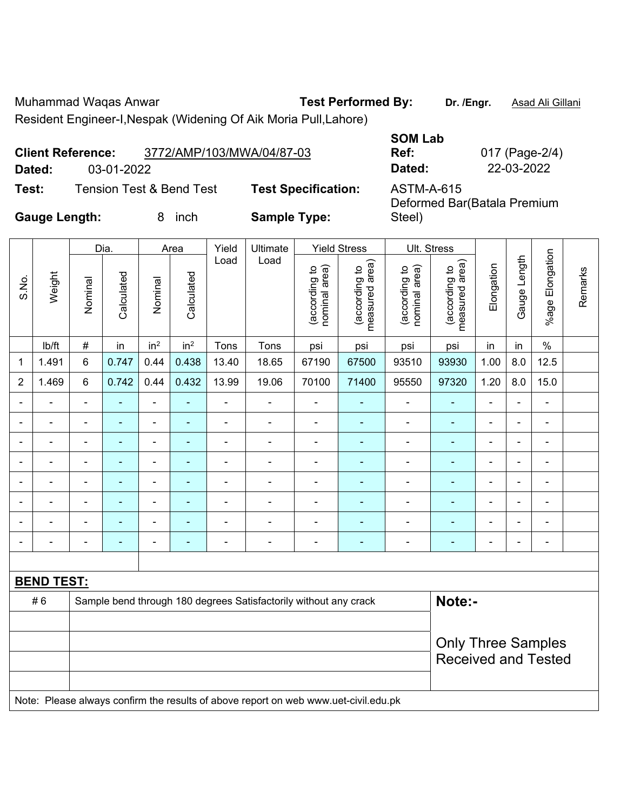Muhammad Waqas Anwar **Test Performed By:** Dr. /Engr. **Asad Ali Gillani** 

Resident Engineer-I,Nespak (Widening Of Aik Moria Pull,Lahore) **Client Reference:** 3772/AMP/103/MWA/04/87-03 **SOM Lab** 

**Ref:** 017 (Page-2/4) **Dated:** 03-01-2022 **Dated:** 22-03-2022

Deformed Bar(Batala Premium

**Test:** Tension Test & Bend Test **Test Specification:** ASTM-A-615

**Gauge Length:** 8 inch **Sample Type:** 

|                | Dia.<br>Area      |                          |                |                          |                 | Yield                    | Ultimate                                                                            |                                | <b>Yield Stress</b>             |                                | Ult. Stress                     |                          |                |                      |         |  |
|----------------|-------------------|--------------------------|----------------|--------------------------|-----------------|--------------------------|-------------------------------------------------------------------------------------|--------------------------------|---------------------------------|--------------------------------|---------------------------------|--------------------------|----------------|----------------------|---------|--|
| S.No.          | Weight            | Nominal                  | Calculated     | Nominal                  | Calculated      | Load                     | Load                                                                                | (according to<br>nominal area) | (according to<br>measured area) | (according to<br>nominal area) | (according to<br>measured area) | Elongation               | Gauge Length   | Elongation<br>%age l | Remarks |  |
|                | lb/ft             | $\#$                     | in             | in <sup>2</sup>          | in <sup>2</sup> | Tons                     | Tons                                                                                | psi                            | psi                             | psi                            | psi                             | in                       | in             | $\%$                 |         |  |
| $\mathbf 1$    | 1.491             | $6\phantom{1}$           | 0.747          | 0.44                     | 0.438           | 13.40                    | 18.65                                                                               | 67190                          | 67500                           | 93510                          | 93930                           | 1.00                     | 8.0            | 12.5                 |         |  |
| $\overline{2}$ | 1.469             | 6                        | 0.742          | 0.44                     | 0.432           | 13.99                    | 19.06                                                                               | 70100                          | 71400                           | 95550                          | 97320                           | 1.20                     | 8.0            | 15.0                 |         |  |
|                | $\blacksquare$    | $\blacksquare$           | ÷,             | $\overline{\phantom{a}}$ | ä,              | $\blacksquare$           | $\blacksquare$                                                                      | $\blacksquare$                 | $\blacksquare$                  | $\qquad \qquad \blacksquare$   | $\blacksquare$                  | $\blacksquare$           | $\blacksquare$ | $\blacksquare$       |         |  |
|                | $\blacksquare$    | ÷                        | ÷,             | $\blacksquare$           |                 | $\blacksquare$           | ÷                                                                                   | $\blacksquare$                 | ÷                               | $\blacksquare$                 | $\blacksquare$                  | $\overline{\phantom{a}}$ |                | $\frac{1}{2}$        |         |  |
|                | $\blacksquare$    | $\blacksquare$           | ä,             | ÷                        | $\blacksquare$  | $\blacksquare$           | $\blacksquare$                                                                      | ÷,                             | $\blacksquare$                  | $\blacksquare$                 | $\blacksquare$                  | $\blacksquare$           | $\blacksquare$ | $\blacksquare$       |         |  |
|                |                   |                          |                | ÷                        |                 |                          | $\blacksquare$                                                                      |                                |                                 | Ē,                             | $\overline{\phantom{a}}$        |                          |                | $\blacksquare$       |         |  |
|                | $\overline{a}$    |                          | -              | ä,                       |                 | ٠                        |                                                                                     | $\blacksquare$                 |                                 | ä,                             |                                 | L,                       |                | $\blacksquare$       |         |  |
|                | $\blacksquare$    | $\blacksquare$           | ٠              | ÷                        | ٠               | ÷                        | ÷                                                                                   | $\blacksquare$                 | $\blacksquare$                  | $\blacksquare$                 | ÷,                              | $\blacksquare$           | $\blacksquare$ | $\blacksquare$       |         |  |
|                | $\blacksquare$    | $\blacksquare$           | ۰              | ۰                        |                 | $\overline{\phantom{0}}$ | $\blacksquare$                                                                      | $\blacksquare$                 | $\blacksquare$                  | $\blacksquare$                 | $\blacksquare$                  | $\blacksquare$           |                | $\blacksquare$       |         |  |
|                | $\blacksquare$    | $\overline{\phantom{0}}$ | $\blacksquare$ | ÷,                       |                 | $\blacksquare$           | $\blacksquare$                                                                      | $\blacksquare$                 | $\blacksquare$                  | $\overline{\phantom{a}}$       | $\blacksquare$                  | $\blacksquare$           |                | $\blacksquare$       |         |  |
|                |                   |                          |                |                          |                 |                          |                                                                                     |                                |                                 |                                |                                 |                          |                |                      |         |  |
|                | <b>BEND TEST:</b> |                          |                |                          |                 |                          |                                                                                     |                                |                                 |                                |                                 |                          |                |                      |         |  |
|                | #6                |                          |                |                          |                 |                          | Sample bend through 180 degrees Satisfactorily without any crack                    |                                |                                 |                                | Note:-                          |                          |                |                      |         |  |
|                |                   |                          |                |                          |                 |                          |                                                                                     |                                |                                 |                                |                                 |                          |                |                      |         |  |
|                |                   |                          |                |                          |                 |                          | <b>Only Three Samples</b>                                                           |                                |                                 |                                |                                 |                          |                |                      |         |  |
|                |                   |                          |                |                          |                 |                          |                                                                                     |                                |                                 |                                | <b>Received and Tested</b>      |                          |                |                      |         |  |
|                |                   |                          |                |                          |                 |                          |                                                                                     |                                |                                 |                                |                                 |                          |                |                      |         |  |
|                |                   |                          |                |                          |                 |                          | Note: Please always confirm the results of above report on web www.uet-civil.edu.pk |                                |                                 |                                |                                 |                          |                |                      |         |  |

Steel)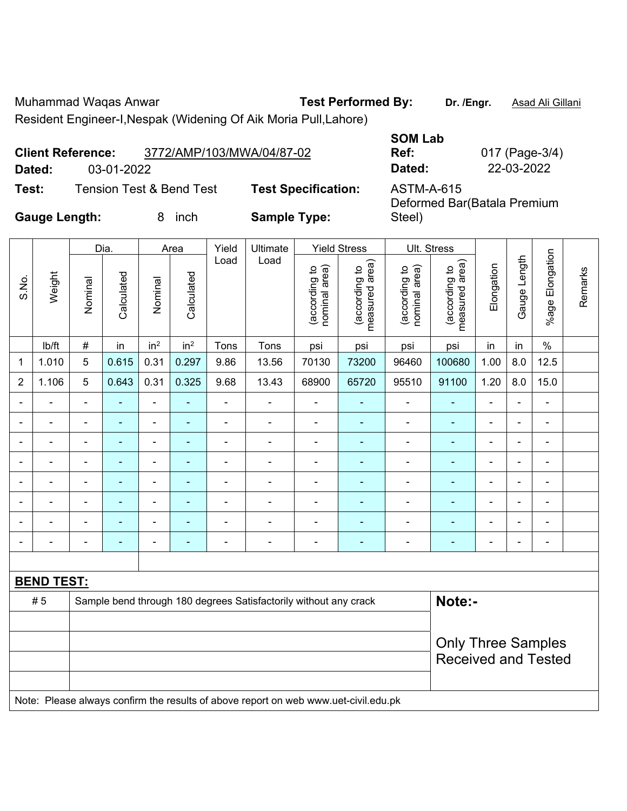Muhammad Waqas Anwar **Test Performed By:** Dr. /Engr. **Asad Ali Gillani** Resident Engineer-I,Nespak (Widening Of Aik Moria Pull,Lahore)

**Client Reference:** 3772/AMP/103/MWA/04/87-02 **SOM Lab** 

**Dated:** 03-01-2022 **Dated:** 22-03-2022 **Test:** Tension Test & Bend Test **Test Specification:** ASTM-A-615 **Gauge Length:** 8 inch **Sample Type:**  Deformed Bar(Batala Premium Steel)

|                |                                                                                     |                            | Dia.           |                          | Area            | Yield          | Ultimate                                                         |                               | <b>Yield Stress</b>                |                                | Ult. Stress                     |                |                |                          |         |
|----------------|-------------------------------------------------------------------------------------|----------------------------|----------------|--------------------------|-----------------|----------------|------------------------------------------------------------------|-------------------------------|------------------------------------|--------------------------------|---------------------------------|----------------|----------------|--------------------------|---------|
| S.No.          | Weight                                                                              | Nominal                    | Calculated     | Nominal                  | Calculated      | Load           | Load                                                             | nominal area)<br>decording to | area)<br>(according to<br>measured | nominal area)<br>(according to | measured area)<br>(according to | Elongation     | Gauge Length   | %age Elongation          | Remarks |
|                | lb/ft                                                                               | $\#$                       | in             | in <sup>2</sup>          | in <sup>2</sup> | Tons           | Tons                                                             | psi                           | psi                                | psi                            | psi                             | in             | in             | $\%$                     |         |
| 1              | 1.010                                                                               | 5                          | 0.615          | 0.31                     | 0.297           | 9.86           | 13.56                                                            | 70130                         | 73200                              | 96460                          | 100680                          | 1.00           | 8.0            | 12.5                     |         |
| $\overline{2}$ | 1.106                                                                               | 5                          | 0.643          | 0.31                     | 0.325           | 9.68           | 13.43                                                            | 68900                         | 65720                              | 95510                          | 91100                           | 1.20           | 8.0            | 15.0                     |         |
|                |                                                                                     | $\blacksquare$             | $\blacksquare$ | $\blacksquare$           |                 | ä,             | ÷,                                                               | $\overline{\phantom{a}}$      |                                    | $\blacksquare$                 | $\blacksquare$                  | $\blacksquare$ | Ĭ.             | $\blacksquare$           |         |
|                | ÷                                                                                   | $\overline{\phantom{a}}$   | ÷,             | $\blacksquare$           | $\blacksquare$  | $\blacksquare$ | ÷,                                                               | $\blacksquare$                | $\blacksquare$                     | $\blacksquare$                 | $\blacksquare$                  | ÷,             | ä,             | $\blacksquare$           |         |
|                | $\blacksquare$                                                                      | $\blacksquare$             | $\blacksquare$ | $\overline{\phantom{a}}$ | ٠               | ä,             | $\blacksquare$                                                   | $\blacksquare$                | $\blacksquare$                     | $\blacksquare$                 | $\blacksquare$                  | ۳              | $\blacksquare$ | $\blacksquare$           |         |
|                |                                                                                     |                            | $\blacksquare$ | ä,                       |                 | L,             | ÷.                                                               | $\blacksquare$                | ٠                                  | Ē,                             | $\blacksquare$                  |                |                | $\blacksquare$           |         |
|                |                                                                                     |                            |                | ۰                        |                 |                |                                                                  |                               |                                    |                                |                                 |                | ٠              | $\blacksquare$           |         |
|                |                                                                                     |                            |                | ÷                        |                 |                | $\blacksquare$                                                   |                               |                                    | ÷                              |                                 |                |                | $\blacksquare$           |         |
|                |                                                                                     | ä,                         | ÷              | ÷                        | $\blacksquare$  | $\blacksquare$ | $\overline{a}$                                                   | $\blacksquare$                |                                    | ÷                              | ÷                               | -              | $\blacksquare$ | $\overline{\phantom{a}}$ |         |
|                |                                                                                     | ä,                         | ÷              | $\blacksquare$           | ÷               | L,             | ÷,                                                               | ä,                            | $\blacksquare$                     | ä,                             | $\blacksquare$                  | ä,             | L,             | $\blacksquare$           |         |
|                |                                                                                     |                            |                |                          |                 |                |                                                                  |                               |                                    |                                |                                 |                |                |                          |         |
|                | <b>BEND TEST:</b>                                                                   |                            |                |                          |                 |                |                                                                  |                               |                                    |                                |                                 |                |                |                          |         |
|                | #5                                                                                  |                            |                |                          |                 |                | Sample bend through 180 degrees Satisfactorily without any crack |                               |                                    |                                | Note:-                          |                |                |                          |         |
|                |                                                                                     |                            |                |                          |                 |                |                                                                  |                               |                                    |                                |                                 |                |                |                          |         |
|                |                                                                                     |                            |                |                          |                 |                |                                                                  |                               |                                    |                                | <b>Only Three Samples</b>       |                |                |                          |         |
|                |                                                                                     | <b>Received and Tested</b> |                |                          |                 |                |                                                                  |                               |                                    |                                |                                 |                |                |                          |         |
|                |                                                                                     |                            |                |                          |                 |                |                                                                  |                               |                                    |                                |                                 |                |                |                          |         |
|                | Note: Please always confirm the results of above report on web www.uet-civil.edu.pk |                            |                |                          |                 |                |                                                                  |                               |                                    |                                |                                 |                |                |                          |         |

**Ref:** 017 (Page-3/4)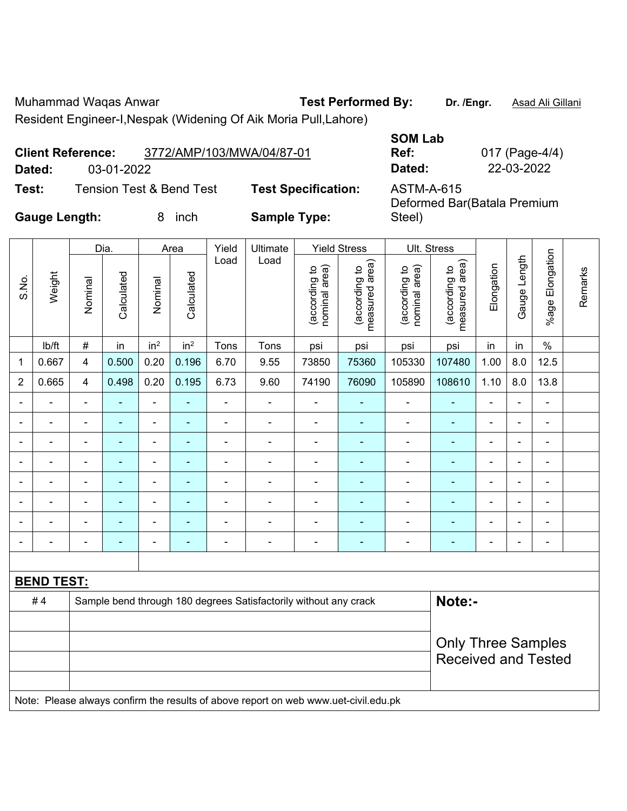Muhammad Waqas Anwar **Test Performed By:** Dr. /Engr. **Asad Ali Gillani** Resident Engineer-I,Nespak (Widening Of Aik Moria Pull,Lahore)

**Client Reference:** 3772/AMP/103/MWA/04/87-01

**Gauge Length:** 8 inch **Sample Type:** 

**SOM Lab Ref:** 017 (Page-4/4) **Dated:** 03-01-2022 **Dated:** 22-03-2022

**Test:** Tension Test & Bend Test **Test Specification:** ASTM-A-615

Deformed Bar(Batala Premium Steel)

|                |                                                                                     |                            | Dia.<br>Area             |                 | Yield<br>Ultimate |                | <b>Yield Stress</b>                                              |                                | Ult. Stress                     |                                |                                 |                          |                |                 |         |
|----------------|-------------------------------------------------------------------------------------|----------------------------|--------------------------|-----------------|-------------------|----------------|------------------------------------------------------------------|--------------------------------|---------------------------------|--------------------------------|---------------------------------|--------------------------|----------------|-----------------|---------|
| S.No.          | Weight                                                                              | Nominal                    | Calculated               | Nominal         | Calculated        | Load           | Load                                                             | nominal area)<br>(according to | measured area)<br>(according to | nominal area)<br>(according to | (according to<br>measured area) | Elongation               | Gauge Length   | %age Elongation | Remarks |
|                | lb/ft                                                                               | $\#$                       | in                       | in <sup>2</sup> | in <sup>2</sup>   | Tons           | Tons                                                             | psi                            | psi                             | psi                            | psi                             | in                       | in             | $\%$            |         |
| $\mathbf{1}$   | 0.667                                                                               | $\overline{\mathbf{4}}$    | 0.500                    | 0.20            | 0.196             | 6.70           | 9.55                                                             | 73850                          | 75360                           | 105330                         | 107480                          | 1.00                     | 8.0            | 12.5            |         |
| $\overline{2}$ | 0.665                                                                               | $\overline{4}$             | 0.498                    | 0.20            | 0.195             | 6.73           | 9.60                                                             | 74190                          | 76090                           | 105890                         | 108610                          | 1.10                     | 8.0            | 13.8            |         |
|                |                                                                                     |                            |                          | $\blacksquare$  |                   |                | -                                                                |                                |                                 |                                |                                 |                          |                |                 |         |
|                |                                                                                     | $\blacksquare$             | $\blacksquare$           | $\blacksquare$  |                   | $\blacksquare$ | $\blacksquare$                                                   | $\blacksquare$                 |                                 | $\blacksquare$                 |                                 | $\blacksquare$           |                | $\blacksquare$  |         |
| $\overline{a}$ |                                                                                     | $\overline{a}$             | $\overline{\phantom{0}}$ | $\overline{a}$  |                   |                | ÷,                                                               | ٠                              | $\overline{\phantom{a}}$        | $\overline{a}$                 | $\overline{\phantom{0}}$        | $\overline{\phantom{0}}$ | $\blacksquare$ | $\blacksquare$  |         |
| $\blacksquare$ |                                                                                     | $\blacksquare$             | $\blacksquare$           | $\blacksquare$  |                   | $\blacksquare$ | $\blacksquare$                                                   | $\blacksquare$                 |                                 | $\blacksquare$                 | ٠                               | $\overline{\phantom{0}}$ |                | $\blacksquare$  |         |
| ä,             |                                                                                     | ä,                         | $\blacksquare$           | ä,              | ÷                 | ä,             | $\frac{1}{2}$                                                    | $\blacksquare$                 | ÷,                              | $\blacksquare$                 | ÷,                              | ä,                       |                | $\blacksquare$  |         |
|                |                                                                                     | $\blacksquare$             | ä,                       | $\blacksquare$  |                   |                | $\overline{a}$                                                   |                                |                                 |                                |                                 |                          |                | $\blacksquare$  |         |
|                |                                                                                     |                            |                          | $\blacksquare$  |                   |                | ä,                                                               |                                | $\blacksquare$                  |                                |                                 |                          |                | $\blacksquare$  |         |
|                |                                                                                     |                            |                          |                 |                   |                | $\blacksquare$                                                   | ٠                              |                                 |                                |                                 |                          |                |                 |         |
|                |                                                                                     |                            |                          |                 |                   |                |                                                                  |                                |                                 |                                |                                 |                          |                |                 |         |
|                | <b>BEND TEST:</b>                                                                   |                            |                          |                 |                   |                |                                                                  |                                |                                 |                                |                                 |                          |                |                 |         |
|                | #4                                                                                  |                            |                          |                 |                   |                | Sample bend through 180 degrees Satisfactorily without any crack |                                |                                 |                                | Note:-                          |                          |                |                 |         |
|                |                                                                                     |                            |                          |                 |                   |                |                                                                  |                                |                                 |                                |                                 |                          |                |                 |         |
|                |                                                                                     |                            |                          |                 |                   |                |                                                                  |                                |                                 |                                | <b>Only Three Samples</b>       |                          |                |                 |         |
|                |                                                                                     | <b>Received and Tested</b> |                          |                 |                   |                |                                                                  |                                |                                 |                                |                                 |                          |                |                 |         |
|                |                                                                                     |                            |                          |                 |                   |                |                                                                  |                                |                                 |                                |                                 |                          |                |                 |         |
|                | Note: Please always confirm the results of above report on web www.uet-civil.edu.pk |                            |                          |                 |                   |                |                                                                  |                                |                                 |                                |                                 |                          |                |                 |         |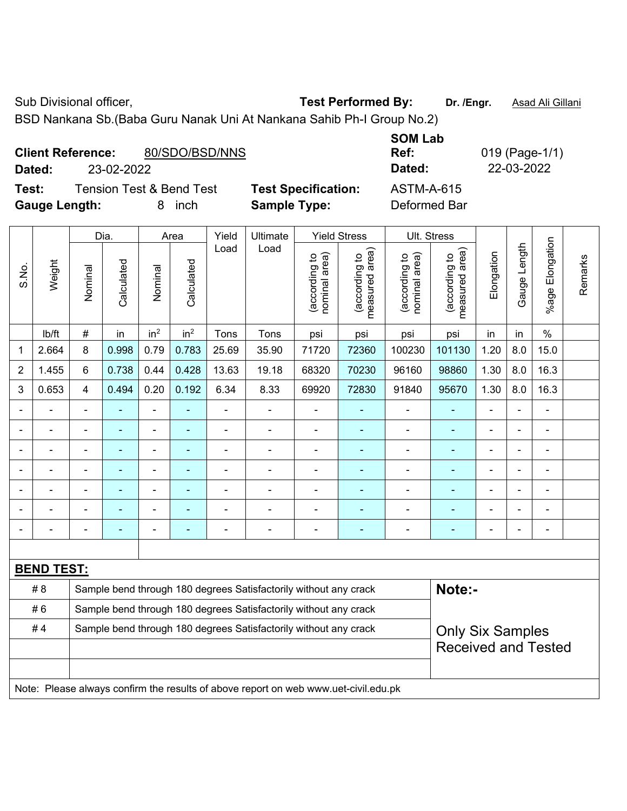Sub Divisional officer, **Test Performed By:** Dr. /Engr. **Asad Ali Gillani** Associated By: Dr. /Engr. **Asad Ali Gillani** 

BSD Nankana Sb.(Baba Guru Nanak Uni At Nankana Sahib Ph-I Group No.2)

| 80/SDO/BSD/NNS<br><b>Client Reference:</b><br>23-02-2022<br>Dated:                | <b>SOM Lab</b><br>Ref:<br>Dated:                                                       | 019 (Page-1/1)<br>22-03-2022 |
|-----------------------------------------------------------------------------------|----------------------------------------------------------------------------------------|------------------------------|
| <b>Tension Test &amp; Bend Test</b><br>Test:<br><b>Gauge Length:</b><br>inch<br>8 | <b>Test Specification:</b><br><b>ASTM-A-615</b><br><b>Sample Type:</b><br>Deformed Bar |                              |

|                |                                                                                     |                                                                                             | Dia.                     |                 | Area            | Yield          | Ultimate                                                         |                                | <b>Yield Stress</b>                         |                                | Ult. Stress                                 |                |                |                              |         |
|----------------|-------------------------------------------------------------------------------------|---------------------------------------------------------------------------------------------|--------------------------|-----------------|-----------------|----------------|------------------------------------------------------------------|--------------------------------|---------------------------------------------|--------------------------------|---------------------------------------------|----------------|----------------|------------------------------|---------|
| S.No.          | Weight                                                                              | Nominal                                                                                     | Calculated               | Nominal         | Calculated      | Load           | Load                                                             | nominal area)<br>(according to | (according to<br>measured area)<br>measured | nominal area)<br>(according to | (according to<br>measured area)<br>measured | Elongation     | Gauge Length   | Elongation<br>$%$ age        | Remarks |
|                | lb/ft                                                                               | #                                                                                           | in                       | in <sup>2</sup> | in <sup>2</sup> | Tons           | Tons                                                             | psi                            | psi                                         | psi                            | psi                                         | in             | in             | $\%$                         |         |
| 1              | 2.664                                                                               | 8                                                                                           | 0.998                    | 0.79            | 0.783           | 25.69          | 35.90                                                            | 71720                          | 72360                                       | 100230                         | 101130                                      | 1.20           | 8.0            | 15.0                         |         |
| $\overline{2}$ | 1.455                                                                               | 6                                                                                           | 0.738                    | 0.44            | 0.428           | 13.63          | 19.18                                                            | 68320                          | 70230                                       | 96160                          | 98860                                       | 1.30           | 8.0            | 16.3                         |         |
| 3              | 0.653                                                                               | $\overline{4}$                                                                              | 0.494                    | 0.20            | 0.192           | 6.34           | 8.33                                                             | 69920                          | 72830                                       | 91840                          | 95670                                       | 1.30           | 8.0            | 16.3                         |         |
|                |                                                                                     | $\blacksquare$                                                                              | $\blacksquare$           | ÷,              |                 | $\blacksquare$ | $\blacksquare$                                                   | $\blacksquare$                 | $\blacksquare$                              | $\blacksquare$                 | $\blacksquare$                              | $\blacksquare$ | $\blacksquare$ | $\frac{1}{2}$                |         |
|                | $\blacksquare$                                                                      | $\blacksquare$                                                                              | $\blacksquare$           | ÷,              | ۰               | ä,             | $\blacksquare$                                                   | $\blacksquare$                 | $\blacksquare$                              | $\blacksquare$                 | $\blacksquare$                              | $\overline{a}$ |                | $\blacksquare$               |         |
|                |                                                                                     |                                                                                             | $\blacksquare$           | ۰               |                 | $\blacksquare$ | $\blacksquare$                                                   | $\blacksquare$                 | $\blacksquare$                              | $\blacksquare$                 |                                             |                |                | ä,                           |         |
|                |                                                                                     |                                                                                             |                          | ۰               |                 |                |                                                                  |                                |                                             |                                | $\blacksquare$                              |                |                |                              |         |
|                |                                                                                     |                                                                                             |                          | ÷               |                 |                |                                                                  | $\blacksquare$                 |                                             |                                |                                             |                |                | ÷                            |         |
|                |                                                                                     |                                                                                             | ä,                       | $\blacksquare$  |                 |                | $\blacksquare$                                                   | $\blacksquare$                 | ÷                                           | $\blacksquare$                 | ۰                                           |                |                | $\blacksquare$               |         |
|                |                                                                                     |                                                                                             | $\overline{\phantom{0}}$ | ۰               | ۰               | $\blacksquare$ | $\overline{\phantom{a}}$                                         | $\blacksquare$                 | $\blacksquare$                              | $\blacksquare$                 | $\overline{\phantom{0}}$                    | $\blacksquare$ | $\blacksquare$ | $\qquad \qquad \blacksquare$ |         |
|                |                                                                                     |                                                                                             |                          |                 |                 |                |                                                                  |                                |                                             |                                |                                             |                |                |                              |         |
|                | <b>BEND TEST:</b>                                                                   |                                                                                             |                          |                 |                 |                |                                                                  |                                |                                             |                                |                                             |                |                |                              |         |
|                | # 8                                                                                 |                                                                                             |                          |                 |                 |                | Sample bend through 180 degrees Satisfactorily without any crack |                                |                                             |                                | Note:-                                      |                |                |                              |         |
|                | #6                                                                                  |                                                                                             |                          |                 |                 |                | Sample bend through 180 degrees Satisfactorily without any crack |                                |                                             |                                |                                             |                |                |                              |         |
|                | #4                                                                                  | Sample bend through 180 degrees Satisfactorily without any crack<br><b>Only Six Samples</b> |                          |                 |                 |                |                                                                  |                                |                                             |                                |                                             |                |                |                              |         |
|                |                                                                                     | <b>Received and Tested</b>                                                                  |                          |                 |                 |                |                                                                  |                                |                                             |                                |                                             |                |                |                              |         |
|                |                                                                                     |                                                                                             |                          |                 |                 |                |                                                                  |                                |                                             |                                |                                             |                |                |                              |         |
|                | Note: Please always confirm the results of above report on web www.uet-civil.edu.pk |                                                                                             |                          |                 |                 |                |                                                                  |                                |                                             |                                |                                             |                |                |                              |         |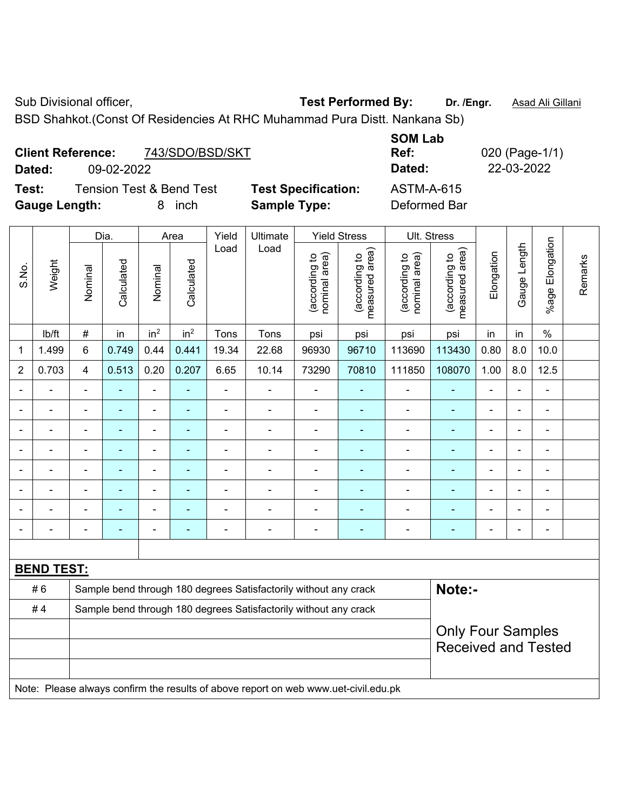Sub Divisional officer, **Test Performed By:** Dr. /Engr. **Asad Ali Gillani** Associated By: Dr. /Engr. **Asad Ali Gillani** 

BSD Shahkot.(Const Of Residencies At RHC Muhammad Pura Distt. Nankana Sb)

|                      | <b>Client Reference:</b> | 743/SDO/BSD/SKT                     |                            | <b>SOM Lab</b><br>Ref: | 020 (Page-1/1) |
|----------------------|--------------------------|-------------------------------------|----------------------------|------------------------|----------------|
| Dated:               | 09-02-2022               |                                     |                            | Dated:                 | 22-03-2022     |
| Test:                |                          | <b>Tension Test &amp; Bend Test</b> | <b>Test Specification:</b> | <b>ASTM-A-615</b>      |                |
| <b>Gauge Length:</b> |                          | inch<br>8                           | <b>Sample Type:</b>        | Deformed Bar           |                |

|                          |                          |                            | Dia.           |                 | Area            | Yield          | Ultimate                                                                            |                                | <b>Yield Stress</b>             |                                | Ult. Stress                     |                          |                |                          |         |
|--------------------------|--------------------------|----------------------------|----------------|-----------------|-----------------|----------------|-------------------------------------------------------------------------------------|--------------------------------|---------------------------------|--------------------------------|---------------------------------|--------------------------|----------------|--------------------------|---------|
| S.No.                    | Weight                   | Nominal                    | Calculated     | Nominal         | Calculated      | Load           | Load                                                                                | nominal area)<br>(according to | (according to<br>measured area) | nominal area)<br>(according to | (according to<br>measured area) | Elongation               | Gauge Length   | Elongation<br>%age       | Remarks |
|                          | lb/ft                    | $\#$                       | in             | in <sup>2</sup> | in <sup>2</sup> | Tons           | Tons                                                                                | psi                            | psi                             | psi                            | psi                             | in                       | in             | $\%$                     |         |
| 1                        | 1.499                    | 6                          | 0.749          | 0.44            | 0.441           | 19.34          | 22.68                                                                               | 96930                          | 96710                           | 113690                         | 113430                          | 0.80                     | 8.0            | 10.0                     |         |
| $\overline{2}$           | 0.703                    | 4                          | 0.513          | 0.20            | 0.207           | 6.65           | 10.14                                                                               | 73290                          | 70810                           | 111850                         | 108070                          | 1.00                     | 8.0            | 12.5                     |         |
| $\blacksquare$           |                          | $\blacksquare$             | ۰              | ÷               | $\blacksquare$  | $\blacksquare$ | $\blacksquare$                                                                      | $\overline{\phantom{a}}$       | $\blacksquare$                  | $\blacksquare$                 | ÷                               | $\blacksquare$           | $\blacksquare$ | $\overline{\phantom{0}}$ |         |
| $\overline{\phantom{a}}$ | $\blacksquare$           | $\blacksquare$             | $\blacksquare$ | ÷,              | $\blacksquare$  | $\blacksquare$ | $\blacksquare$                                                                      | $\blacksquare$                 | ٠                               | $\blacksquare$                 | ÷                               | $\blacksquare$           | $\blacksquare$ | $\blacksquare$           |         |
|                          | $\overline{\phantom{a}}$ | $\blacksquare$             | $\blacksquare$ | ÷,              |                 | $\blacksquare$ | ÷                                                                                   | $\blacksquare$                 | $\blacksquare$                  | $\blacksquare$                 | ÷                               | $\overline{\phantom{a}}$ | $\blacksquare$ | $\blacksquare$           |         |
|                          | $\blacksquare$           | $\blacksquare$             | $\blacksquare$ | ÷,              |                 | $\blacksquare$ | $\blacksquare$                                                                      | ä,                             | ٠                               | $\blacksquare$                 | ۰                               | $\blacksquare$           | $\blacksquare$ | $\blacksquare$           |         |
|                          | $\overline{a}$           |                            | ۰              | $\blacksquare$  |                 | $\blacksquare$ | $\blacksquare$                                                                      | ä,                             | $\blacksquare$                  | $\blacksquare$                 | ۰                               | Ē,                       | ÷,             | ä,                       |         |
|                          |                          |                            |                |                 |                 |                |                                                                                     |                                |                                 |                                |                                 |                          |                | $\blacksquare$           |         |
|                          |                          |                            |                |                 |                 |                |                                                                                     | ä,                             |                                 |                                |                                 |                          |                | L,                       |         |
| $\blacksquare$           | $\overline{a}$           | ä,                         | ۰              | $\blacksquare$  |                 | $\blacksquare$ | $\blacksquare$                                                                      | $\blacksquare$                 | $\blacksquare$                  | $\blacksquare$                 | ۰                               | $\blacksquare$           | $\blacksquare$ | ÷,                       |         |
|                          |                          |                            |                |                 |                 |                |                                                                                     |                                |                                 |                                |                                 |                          |                |                          |         |
|                          | <b>BEND TEST:</b>        |                            |                |                 |                 |                |                                                                                     |                                |                                 |                                |                                 |                          |                |                          |         |
|                          | #6                       |                            |                |                 |                 |                | Sample bend through 180 degrees Satisfactorily without any crack                    |                                |                                 |                                | Note:-                          |                          |                |                          |         |
|                          | #4                       |                            |                |                 |                 |                | Sample bend through 180 degrees Satisfactorily without any crack                    |                                |                                 |                                |                                 |                          |                |                          |         |
|                          |                          |                            |                |                 |                 |                |                                                                                     |                                |                                 |                                | <b>Only Four Samples</b>        |                          |                |                          |         |
|                          |                          | <b>Received and Tested</b> |                |                 |                 |                |                                                                                     |                                |                                 |                                |                                 |                          |                |                          |         |
|                          |                          |                            |                |                 |                 |                |                                                                                     |                                |                                 |                                |                                 |                          |                |                          |         |
|                          |                          |                            |                |                 |                 |                | Note: Please always confirm the results of above report on web www.uet-civil.edu.pk |                                |                                 |                                |                                 |                          |                |                          |         |